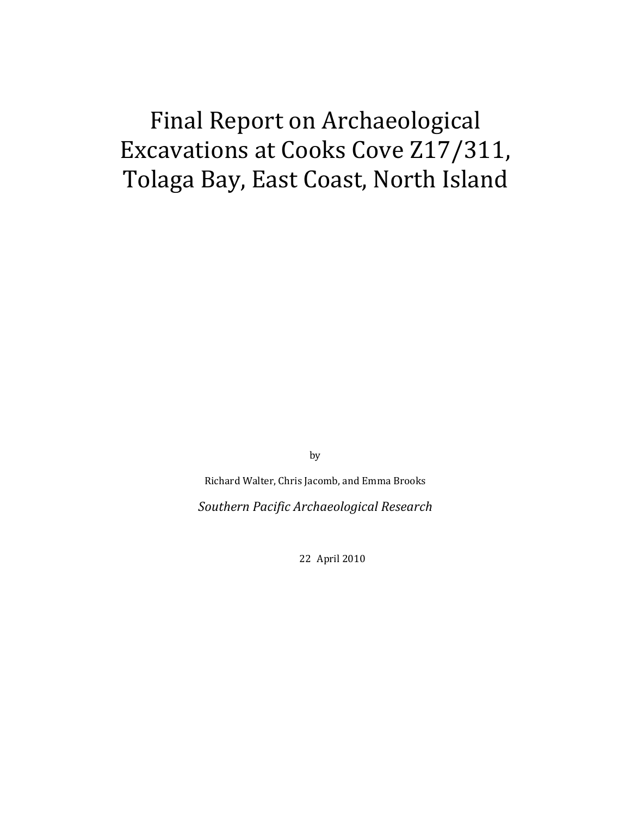# Final Report on Archaeological Excavations at Cooks Cove Z17/311, Tolaga Bay, East Coast, North Island

by

Richard Walter, Chris Jacomb, and Emma Brooks

*Southern Pacific Archaeological Research*

22 April 2010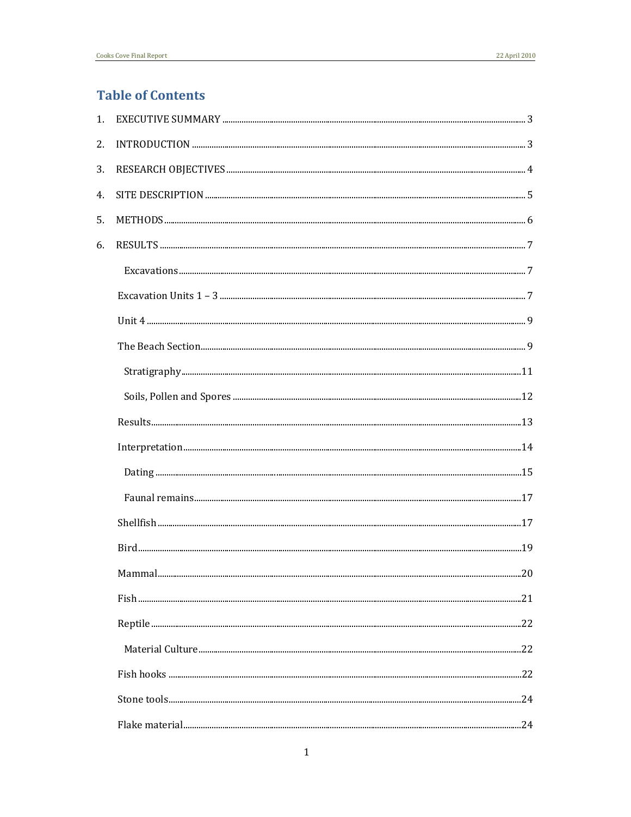## **Table of Contents**

| 1. |        |     |
|----|--------|-----|
| 2. |        |     |
| 3. |        |     |
| 4. |        |     |
| 5. |        |     |
| 6. |        |     |
|    |        |     |
|    |        |     |
|    |        |     |
|    |        |     |
|    |        |     |
|    |        |     |
|    |        |     |
|    |        |     |
|    |        |     |
|    |        |     |
|    |        |     |
|    |        |     |
|    | Mammal | .20 |
|    |        |     |
|    |        |     |
|    |        |     |
|    |        |     |
|    |        |     |
|    |        |     |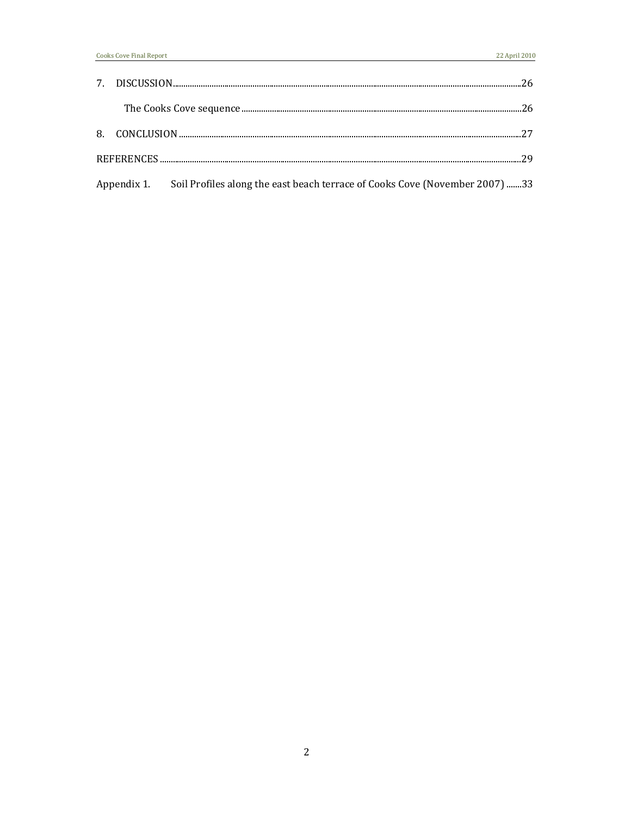|  |                                                                                         | 26 |
|--|-----------------------------------------------------------------------------------------|----|
|  |                                                                                         |    |
|  |                                                                                         |    |
|  |                                                                                         | 29 |
|  | Appendix 1. Soil Profiles along the east beach terrace of Cooks Cove (November 2007) 33 |    |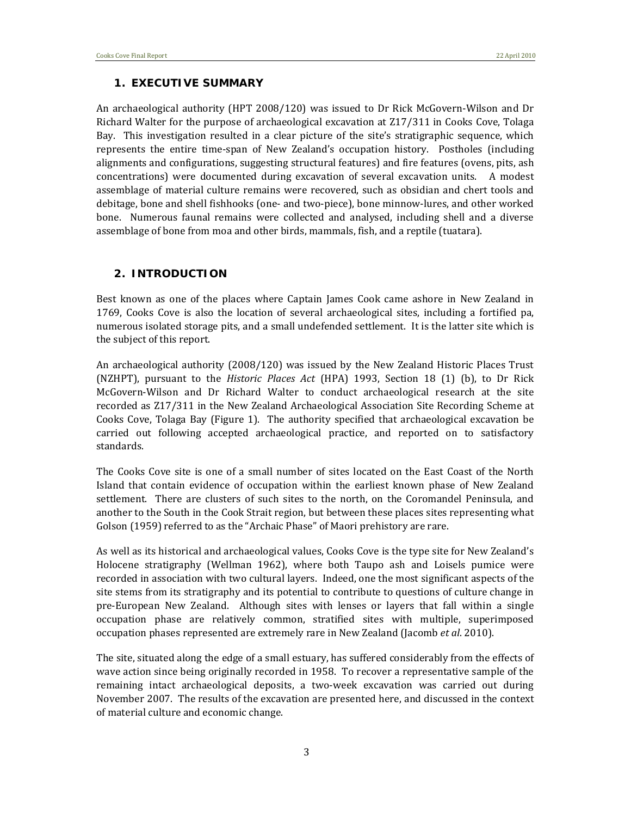#### **1. EXECUTIVE SUMMARY**

An archaeological authority (HPT 2008/120) was issued to Dr Rick McGovern‐Wilson and Dr Richard Walter for the purpose of archaeological excavation at Z17/311 in Cooks Cove, Tolaga Bay. This investigation resulted in a clear picture of the site's stratigraphic sequence, which represents the entire time‐span of New Zealand's occupation history. Postholes (including alignments and configurations, suggesting structural features) and fire features (ovens, pits, ash concentrations) were documented during excavation of several excavation units. A modest assemblage of material culture remains were recovered, such as obsidian and chert tools and debitage, bone and shell fishhooks (one‐ and two‐piece), bone minnow‐lures, and other worked bone. Numerous faunal remains were collected and analysed, including shell and a diverse assemblage of bone from moa and other birds, mammals, fish, and a reptile (tuatara).

#### **2. INTRODUCTION**

Best known as one of the places where Captain James Cook came ashore in New Zealand in 1769, Cooks Cove is also the location of several archaeological sites, including a fortified pa, numerous isolated storage pits, and a small undefended settlement. It is the latter site which is the subject of this report.

An archaeological authority (2008/120) was issued by the New Zealand Historic Places Trust (NZHPT), pursuant to the *Historic Places Act* (HPA) 1993, Section 18 (1) (b), to Dr Rick McGovern‐Wilson and Dr Richard Walter to conduct archaeological research at the site recorded as Z17/311 in the New Zealand Archaeological Association Site Recording Scheme at Cooks Cove, Tolaga Bay (Figure 1). The authority specified that archaeological excavation be carried out following accepted archaeological practice, and reported on to satisfactory standards.

The Cooks Cove site is one of a small number of sites located on the East Coast of the North Island that contain evidence of occupation within the earliest known phase of New Zealand settlement. There are clusters of such sites to the north, on the Coromandel Peninsula, and another to the South in the Cook Strait region, but between these places sites representing what Golson (1959) referred to as the "Archaic Phase" of Maori prehistory are rare.

As well as its historical and archaeological values, Cooks Cove is the type site for New Zealand's Holocene stratigraphy (Wellman 1962), where both Taupo ash and Loisels pumice were recorded in association with two cultural layers. Indeed, one the most significant aspects of the site stems from its stratigraphy and its potential to contribute to questions of culture change in pre‐European New Zealand. Although sites with lenses or layers that fall within a single occupation phase are relatively common, stratified sites with multiple, superimposed occupation phases represented are extremely rare in New Zealand (Jacomb *et al*. 2010).

The site, situated along the edge of a small estuary, has suffered considerably from the effects of wave action since being originally recorded in 1958. To recover a representative sample of the remaining intact archaeological deposits, a two-week excavation was carried out during November 2007. The results of the excavation are presented here, and discussed in the context of material culture and economic change.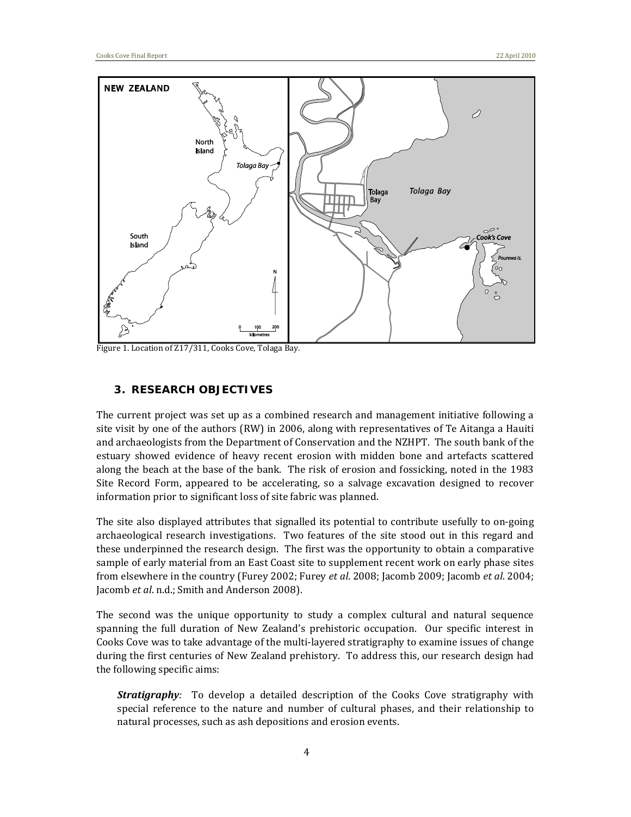

Figure 1. Location of Z17/311, Cooks Cove, Tolaga Bay.

#### **3. RESEARCH OBJECTIVES**

The current project was set up as a combined research and management initiative following a site visit by one of the authors (RW) in 2006, along with representatives of Te Aitanga a Hauiti and archaeologists from the Department of Conservation and the NZHPT. The south bank of the estuary showed evidence of heavy recent erosion with midden bone and artefacts scattered along the beach at the base of the bank. The risk of erosion and fossicking, noted in the 1983 Site Record Form, appeared to be accelerating, so a salvage excavation designed to recover information prior to significant loss of site fabric was planned.

The site also displayed attributes that signalled its potential to contribute usefully to on-going archaeological research investigations. Two features of the site stood out in this regard and these underpinned the research design. The first was the opportunity to obtain a comparative sample of early material from an East Coast site to supplement recent work on early phase sites from elsewhere in the country (Furey 2002; Furey *et al*. 2008; Jacomb 2009; Jacomb *et al*. 2004; Jacomb *et al*. n.d.; Smith and Anderson 2008).

The second was the unique opportunity to study a complex cultural and natural sequence spanning the full duration of New Zealand's prehistoric occupation. Our specific interest in Cooks Cove was to take advantage of the multi‐layered stratigraphy to examine issues of change during the first centuries of New Zealand prehistory. To address this, our research design had the following specific aims:

**Stratigraphy**: To develop a detailed description of the Cooks Cove stratigraphy with special reference to the nature and number of cultural phases, and their relationship to natural processes, such as ash depositions and erosion events.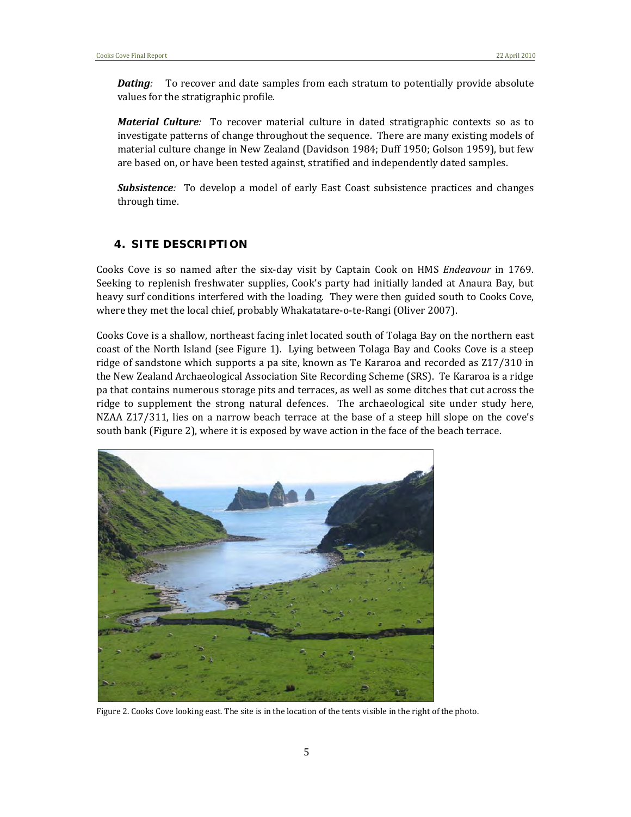*Dating*: To recover and date samples from each stratum to potentially provide absolute values for the stratigraphic profile.

*Material Culture:* To recover material culture in dated stratigraphic contexts so as to investigate patterns of change throughout the sequence. There are many existing models of material culture change in New Zealand (Davidson 1984; Duff 1950; Golson 1959), but few are based on, or have been tested against, stratified and independently dated samples.

**Subsistence**: To develop a model of early East Coast subsistence practices and changes through time.

#### **4. SITE DESCRIPTION**

Cooks Cove is so named after the six‐day visit by Captain Cook on HMS *Endeavour* in 1769. Seeking to replenish freshwater supplies, Cook's party had initially landed at Anaura Bay, but heavy surf conditions interfered with the loading. They were then guided south to Cooks Cove, where they met the local chief, probably Whakatatare-o-te-Rangi (Oliver 2007).

Cooks Cove is a shallow, northeast facing inlet located south of Tolaga Bay on the northern east coast of the North Island (see Figure 1). Lying between Tolaga Bay and Cooks Cove is a steep ridge of sandstone which supports a pa site, known as Te Kararoa and recorded as Z17/310 in the New Zealand Archaeological Association Site Recording Scheme (SRS). Te Kararoa is a ridge pa that contains numerous storage pits and terraces, as well as some ditches that cut across the ridge to supplement the strong natural defences. The archaeological site under study here, NZAA Z17/311, lies on a narrow beach terrace at the base of a steep hill slope on the cove's south bank (Figure 2), where it is exposed by wave action in the face of the beach terrace.



Figure 2. Cooks Cove looking east. The site is in the location of the tents visible in the right of the photo.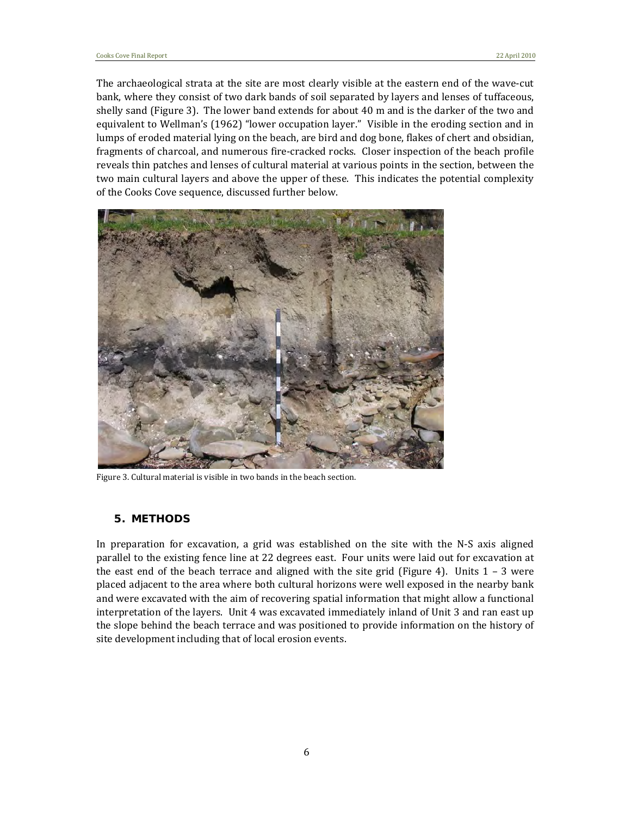The archaeological strata at the site are most clearly visible at the eastern end of the wave-cut bank, where they consist of two dark bands of soil separated by layers and lenses of tuffaceous, shelly sand (Figure 3). The lower band extends for about 40 m and is the darker of the two and equivalent to Wellman's (1962) "lower occupation layer." Visible in the eroding section and in lumps of eroded material lying on the beach, are bird and dog bone, flakes of chert and obsidian, fragments of charcoal, and numerous fire‐cracked rocks. Closer inspection of the beach profile reveals thin patches and lenses of cultural material at various points in the section, between the two main cultural layers and above the upper of these. This indicates the potential complexity of the Cooks Cove sequence, discussed further below.



Figure 3. Cultural material is visible in two bands in the beach section.

#### **5. METHODS**

In preparation for excavation, a grid was established on the site with the N-S axis aligned parallel to the existing fence line at 22 degrees east. Four units were laid out for excavation at the east end of the beach terrace and aligned with the site grid (Figure 4). Units  $1 - 3$  were placed adjacent to the area where both cultural horizons were well exposed in the nearby bank and were excavated with the aim of recovering spatial information that might allow a functional interpretation of the layers. Unit 4 was excavated immediately inland of Unit 3 and ran east up the slope behind the beach terrace and was positioned to provide information on the history of site development including that of local erosion events.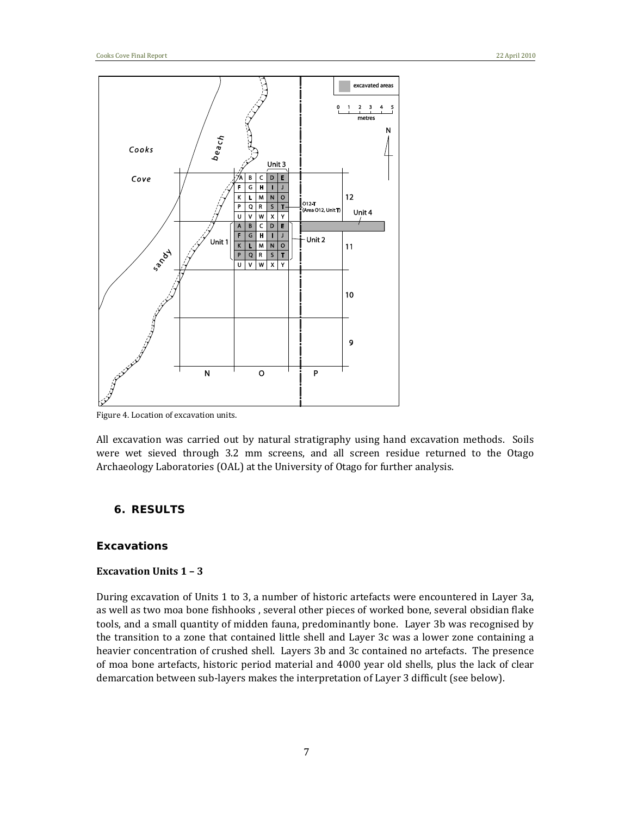

Figure 4. Location of excavation units.

All excavation was carried out by natural stratigraphy using hand excavation methods. Soils were wet sieved through 3.2 mm screens, and all screen residue returned to the Otago Archaeology Laboratories (OAL) at the University of Otago for further analysis.

#### **6. RESULTS**

#### *Excavations*

#### **Excavation Units 1 – 3**

During excavation of Units 1 to 3, a number of historic artefacts were encountered in Layer 3a, as well as two moa bone fishhooks , several other pieces of worked bone, several obsidian flake tools, and a small quantity of midden fauna, predominantly bone. Layer 3b was recognised by the transition to a zone that contained little shell and Layer 3c was a lower zone containing a heavier concentration of crushed shell. Layers 3b and 3c contained no artefacts. The presence of moa bone artefacts, historic period material and 4000 year old shells, plus the lack of clear demarcation between sub‐layers makes the interpretation of Layer 3 difficult (see below).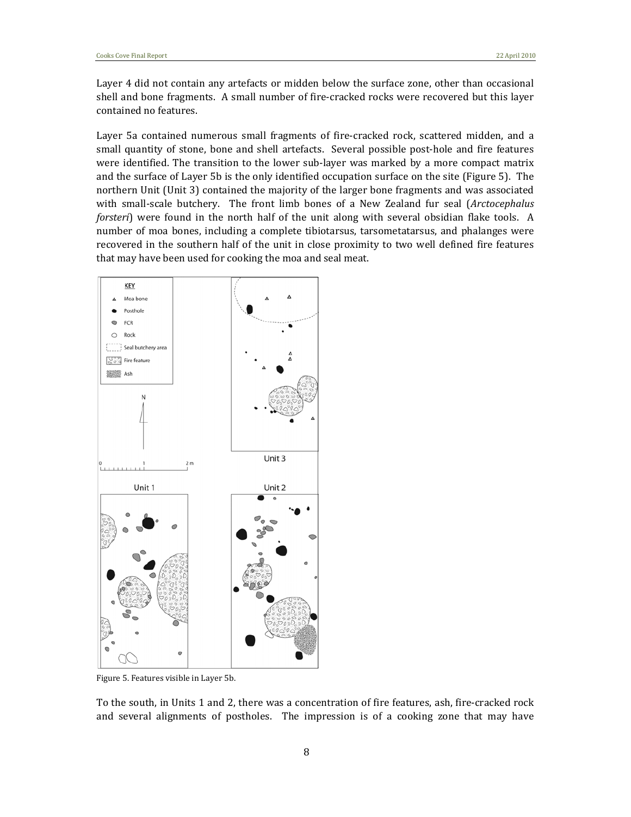Layer 4 did not contain any artefacts or midden below the surface zone, other than occasional shell and bone fragments. A small number of fire-cracked rocks were recovered but this layer contained no features.

Layer 5a contained numerous small fragments of fire-cracked rock, scattered midden, and a small quantity of stone, bone and shell artefacts. Several possible post-hole and fire features were identified. The transition to the lower sub-layer was marked by a more compact matrix and the surface of Layer 5b is the only identified occupation surface on the site (Figure 5). The northern Unit (Unit 3) contained the majority of the larger bone fragments and was associated with small-scale butchery. The front limb bones of a New Zealand fur seal (*Arctocephalus forsteri*) were found in the north half of the unit along with several obsidian flake tools. A number of moa bones, including a complete tibiotarsus, tarsometatarsus, and phalanges were recovered in the southern half of the unit in close proximity to two well defined fire features that may have been used for cooking the moa and seal meat.



Figure 5. Features visible in Layer 5b.

To the south, in Units 1 and 2, there was a concentration of fire features, ash, fire‐cracked rock and several alignments of postholes. The impression is of a cooking zone that may have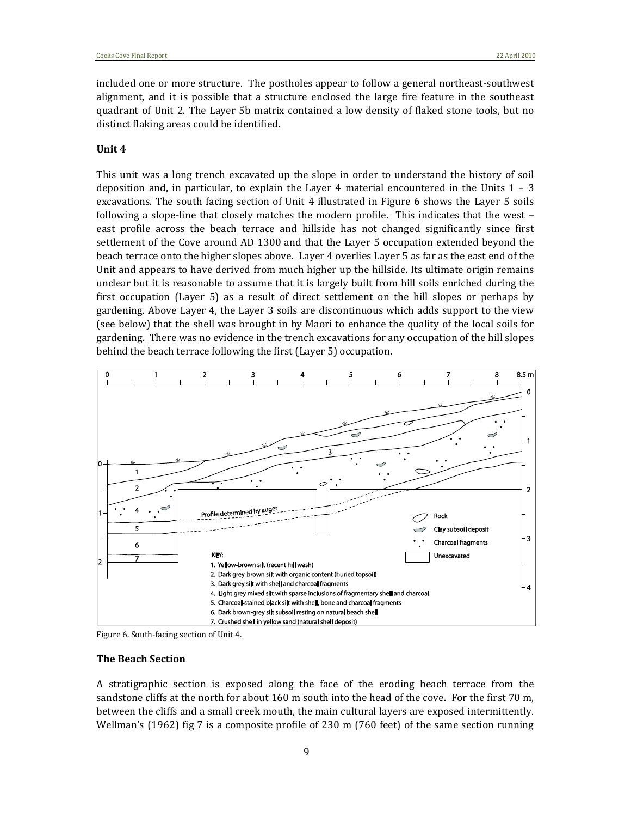included one or more structure. The postholes appear to follow a general northeast‐southwest alignment, and it is possible that a structure enclosed the large fire feature in the southeast quadrant of Unit 2. The Layer 5b matrix contained a low density of flaked stone tools, but no distinct flaking areas could be identified.

#### **Unit 4**

This unit was a long trench excavated up the slope in order to understand the history of soil deposition and, in particular, to explain the Layer 4 material encountered in the Units  $1 - 3$ excavations. The south facing section of Unit 4 illustrated in Figure 6 shows the Layer 5 soils following a slope-line that closely matches the modern profile. This indicates that the west east profile across the beach terrace and hillside has not changed significantly since first settlement of the Cove around AD 1300 and that the Layer 5 occupation extended beyond the beach terrace onto the higher slopes above. Layer 4 overlies Layer 5 as far as the east end of the Unit and appears to have derived from much higher up the hillside. Its ultimate origin remains unclear but it is reasonable to assume that it is largely built from hill soils enriched during the first occupation (Layer 5) as a result of direct settlement on the hill slopes or perhaps by gardening. Above Layer 4, the Layer 3 soils are discontinuous which adds support to the view (see below) that the shell was brought in by Maori to enhance the quality of the local soils for gardening. There was no evidence in the trench excavations for any occupation of the hill slopes behind the beach terrace following the first (Layer 5) occupation.



Figure 6. South‐facing section of Unit 4.

#### **The Beach Section**

A stratigraphic section is exposed along the face of the eroding beach terrace from the sandstone cliffs at the north for about 160 m south into the head of the cove. For the first 70 m, between the cliffs and a small creek mouth, the main cultural layers are exposed intermittently. Wellman's (1962) fig 7 is a composite profile of 230 m (760 feet) of the same section running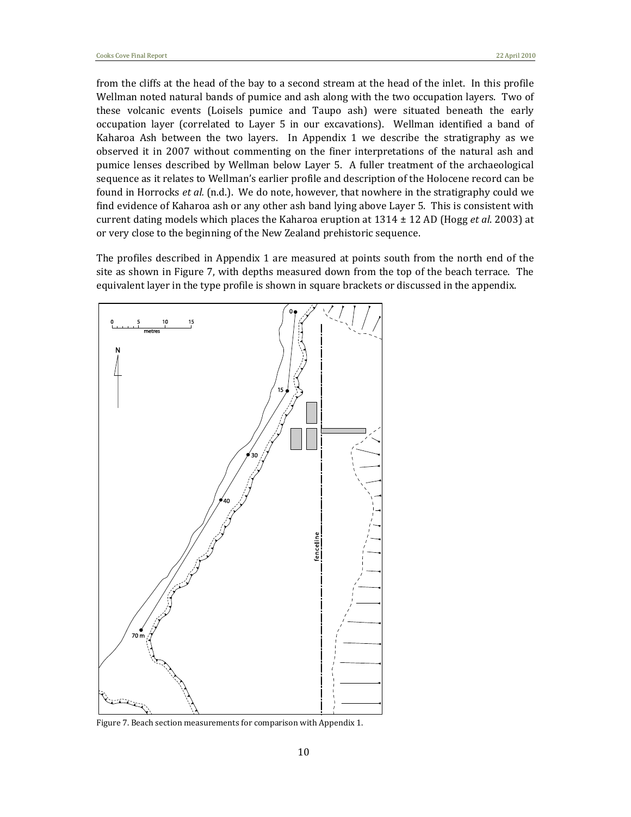from the cliffs at the head of the bay to a second stream at the head of the inlet. In this profile Wellman noted natural bands of pumice and ash along with the two occupation layers. Two of these volcanic events (Loisels pumice and Taupo ash) were situated beneath the early occupation layer (correlated to Layer 5 in our excavations). Wellman identified a band of Kaharoa Ash between the two layers. In Appendix 1 we describe the stratigraphy as we observed it in 2007 without commenting on the finer interpretations of the natural ash and pumice lenses described by Wellman below Layer 5. A fuller treatment of the archaeological sequence as it relates to Wellman's earlier profile and description of the Holocene record can be found in Horrocks *et al.* (n.d.). We do note, however, that nowhere in the stratigraphy could we find evidence of Kaharoa ash or any other ash band lying above Layer 5. This is consistent with current dating models which places the Kaharoa eruption at 1314 ± 12 AD (Hogg *et al*. 2003) at or very close to the beginning of the New Zealand prehistoric sequence.

The profiles described in Appendix 1 are measured at points south from the north end of the site as shown in Figure 7, with depths measured down from the top of the beach terrace. The equivalent layer in the type profile is shown in square brackets or discussed in the appendix.



Figure 7. Beach section measurements for comparison with Appendix 1.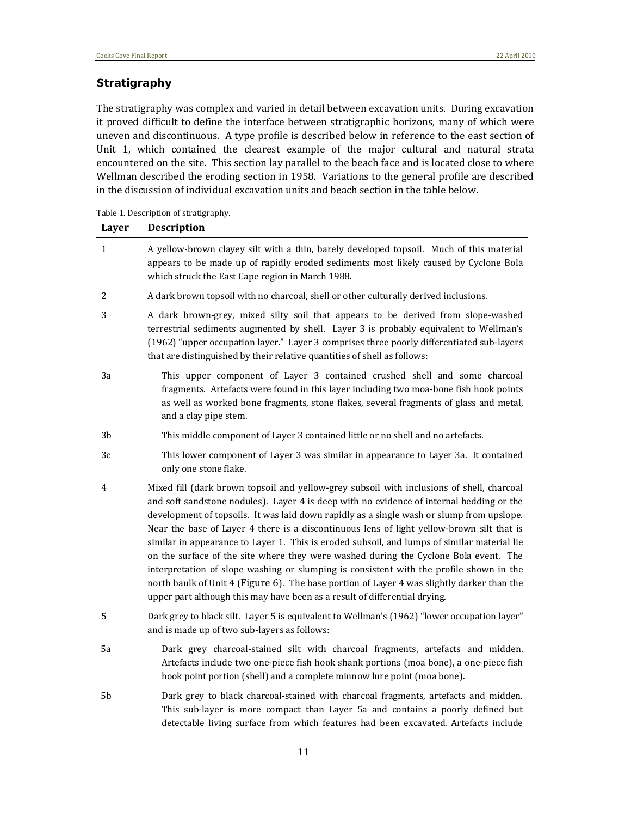#### *Stratigraphy*

The stratigraphy was complex and varied in detail between excavation units. During excavation it proved difficult to define the interface between stratigraphic horizons, many of which were uneven and discontinuous. A type profile is described below in reference to the east section of Unit 1, which contained the clearest example of the major cultural and natural strata encountered on the site. This section lay parallel to the beach face and is located close to where Wellman described the eroding section in 1958. Variations to the general profile are described in the discussion of individual excavation units and beach section in the table below.

Table 1. Description of stratigraphy.

| Layer          | <b>Description</b>                                                                                                                                                                                                                                                                                                                                                                                                                                                                                                                                                                                                                                                                                                                                                                                                                            |
|----------------|-----------------------------------------------------------------------------------------------------------------------------------------------------------------------------------------------------------------------------------------------------------------------------------------------------------------------------------------------------------------------------------------------------------------------------------------------------------------------------------------------------------------------------------------------------------------------------------------------------------------------------------------------------------------------------------------------------------------------------------------------------------------------------------------------------------------------------------------------|
| 1              | A yellow-brown clayey silt with a thin, barely developed topsoil. Much of this material<br>appears to be made up of rapidly eroded sediments most likely caused by Cyclone Bola<br>which struck the East Cape region in March 1988.                                                                                                                                                                                                                                                                                                                                                                                                                                                                                                                                                                                                           |
| $\overline{2}$ | A dark brown topsoil with no charcoal, shell or other culturally derived inclusions.                                                                                                                                                                                                                                                                                                                                                                                                                                                                                                                                                                                                                                                                                                                                                          |
| 3              | A dark brown-grey, mixed silty soil that appears to be derived from slope-washed<br>terrestrial sediments augmented by shell. Layer 3 is probably equivalent to Wellman's<br>(1962) "upper occupation layer." Layer 3 comprises three poorly differentiated sub-layers<br>that are distinguished by their relative quantities of shell as follows:                                                                                                                                                                                                                                                                                                                                                                                                                                                                                            |
| 3a             | This upper component of Layer 3 contained crushed shell and some charcoal<br>fragments. Artefacts were found in this layer including two moa-bone fish hook points<br>as well as worked bone fragments, stone flakes, several fragments of glass and metal,<br>and a clay pipe stem.                                                                                                                                                                                                                                                                                                                                                                                                                                                                                                                                                          |
| 3 <sub>b</sub> | This middle component of Layer 3 contained little or no shell and no artefacts.                                                                                                                                                                                                                                                                                                                                                                                                                                                                                                                                                                                                                                                                                                                                                               |
| 3c             | This lower component of Layer 3 was similar in appearance to Layer 3a. It contained<br>only one stone flake.                                                                                                                                                                                                                                                                                                                                                                                                                                                                                                                                                                                                                                                                                                                                  |
| 4              | Mixed fill (dark brown topsoil and yellow-grey subsoil with inclusions of shell, charcoal<br>and soft sandstone nodules). Layer 4 is deep with no evidence of internal bedding or the<br>development of topsoils. It was laid down rapidly as a single wash or slump from upslope.<br>Near the base of Layer 4 there is a discontinuous lens of light yellow-brown silt that is<br>similar in appearance to Layer 1. This is eroded subsoil, and lumps of similar material lie<br>on the surface of the site where they were washed during the Cyclone Bola event. The<br>interpretation of slope washing or slumping is consistent with the profile shown in the<br>north baulk of Unit 4 (Figure 6). The base portion of Layer 4 was slightly darker than the<br>upper part although this may have been as a result of differential drying. |
| 5              | Dark grey to black silt. Layer 5 is equivalent to Wellman's (1962) "lower occupation layer"<br>and is made up of two sub-layers as follows:                                                                                                                                                                                                                                                                                                                                                                                                                                                                                                                                                                                                                                                                                                   |
| 5a             | Dark grey charcoal-stained silt with charcoal fragments, artefacts and midden.<br>Artefacts include two one-piece fish hook shank portions (moa bone), a one-piece fish<br>hook point portion (shell) and a complete minnow lure point (moa bone).                                                                                                                                                                                                                                                                                                                                                                                                                                                                                                                                                                                            |
| ビト             | Dark group to blook ghargool stoined with ghargool frogments exteriots and midden                                                                                                                                                                                                                                                                                                                                                                                                                                                                                                                                                                                                                                                                                                                                                             |

5b Dark grey to black charcoal-stained with charcoal fragments, artefacts and midden. This sub-layer is more compact than Layer 5a and contains a poorly defined but detectable living surface from which features had been excavated. Artefacts include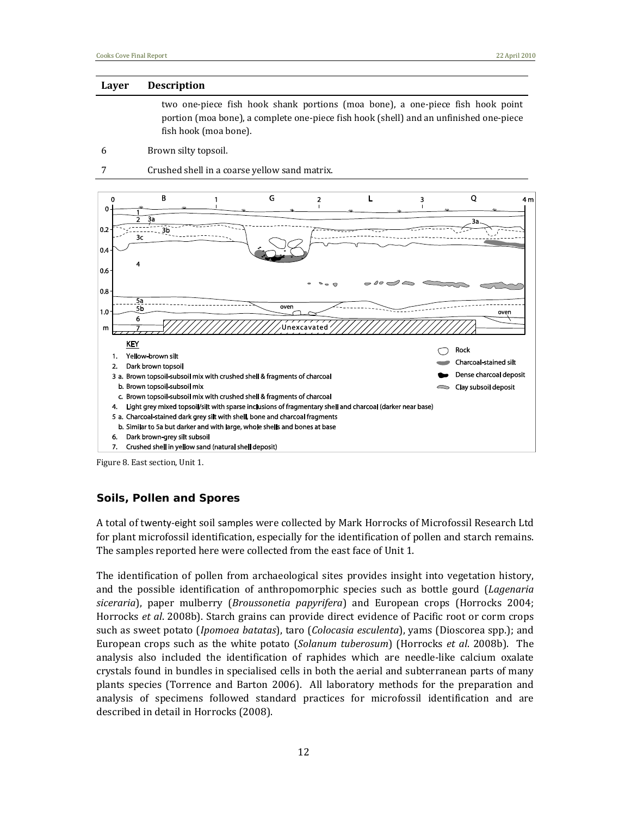#### **Layer Description**

two one‐piece fish hook shank portions (moa bone), a one‐piece fish hook point portion (moa bone), a complete one‐piece fish hook (shell) and an unfinished one‐piece fish hook (moa bone).

- 6 Brown silty topsoil.
- 7 Crushed shell in a coarse yellow sand matrix.



Figure 8. East section, Unit 1.

#### *Soils, Pollen and Spores*

A total of twenty‐eight soil samples were collected by Mark Horrocks of Microfossil Research Ltd for plant microfossil identification, especially for the identification of pollen and starch remains. The samples reported here were collected from the east face of Unit 1.

The identification of pollen from archaeological sites provides insight into vegetation history, and the possible identification of anthropomorphic species such as bottle gourd (*Lagenaria siceraria*), paper mulberry (*Broussonetia papyrifera*) and European crops (Horrocks 2004; Horrocks *et al*. 2008b). Starch grains can provide direct evidence of Pacific root or corm crops such as sweet potato (*Ipomoea batatas*), taro (*Colocasia esculenta*), yams (Dioscorea spp.); and European crops such as the white potato (*Solanum tuberosum*) (Horrocks *et al*. 2008b). The analysis also included the identification of raphides which are needle‐like calcium oxalate crystals found in bundles in specialised cells in both the aerial and subterranean parts of many plants species (Torrence and Barton 2006). All laboratory methods for the preparation and analysis of specimens followed standard practices for microfossil identification and are described in detail in Horrocks (2008).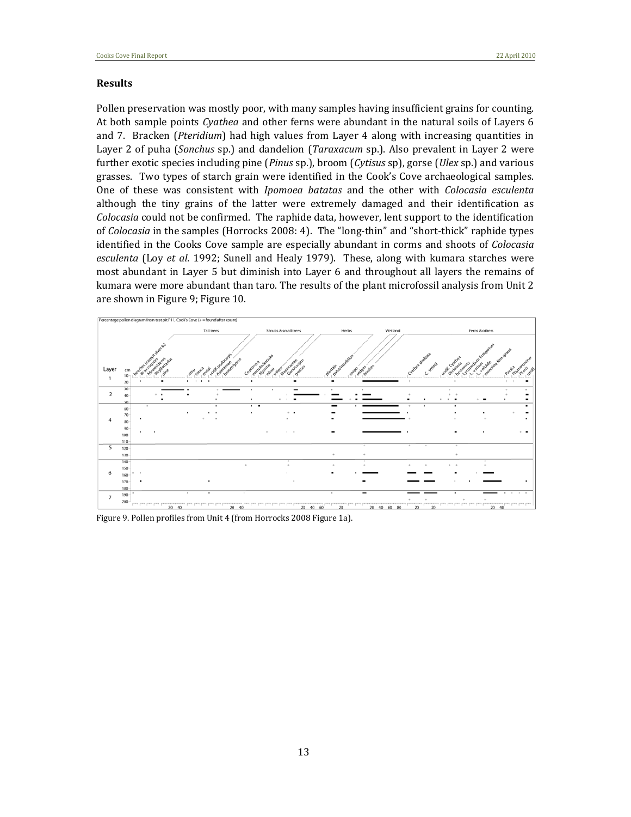#### **Results**

Pollen preservation was mostly poor, with many samples having insufficient grains for counting. At both sample points *Cyathea* and other ferns were abundant in the natural soils of Layers 6 and 7. Bracken (*Pteridium*) had high values from Layer 4 along with increasing quantities in Layer 2 of puha (*Sonchus* sp.) and dandelion (*Taraxacum* sp.). Also prevalent in Layer 2 were further exotic species including pine (*Pinus* sp.), broom (*Cytisus* sp), gorse (*Ulex* sp.) and various grasses. Two types of starch grain were identified in the Cook's Cove archaeological samples. One of these was consistent with *Ipomoea batatas* and the other with *Colocasia esculenta* although the tiny grains of the latter were extremely damaged and their identification as *Colocasia* could not be confirmed. The raphide data, however, lent support to the identification of *Colocasia* in the samples (Horrocks 2008: 4). The "long‐thin" and "short‐thick" raphide types identified in the Cooks Cove sample are especially abundant in corms and shoots of *Colocasia esculenta* (Loy *et al.* 1992; Sunell and Healy 1979). These, along with kumara starches were most abundant in Layer 5 but diminish into Layer 6 and throughout all layers the remains of kumara were more abundant than taro. The results of the plant microfossil analysis from Unit 2 are shown in Figure 9; Figure 10.



Figure 9. Pollen profiles from Unit 4 (from Horrocks 2008 Figure 1a).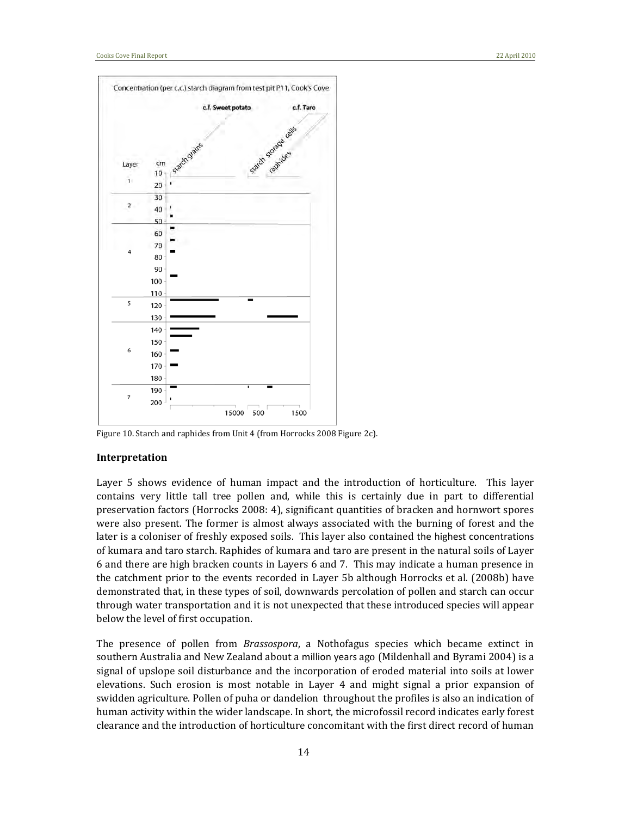

Figure 10. Starch and raphides from Unit 4 (from Horrocks 2008 Figure 2c).

#### **Interpretation**

Layer 5 shows evidence of human impact and the introduction of horticulture. This layer contains very little tall tree pollen and, while this is certainly due in part to differential preservation factors (Horrocks 2008: 4), significant quantities of bracken and hornwort spores were also present. The former is almost always associated with the burning of forest and the later is a coloniser of freshly exposed soils. This layer also contained the highest concentrations of kumara and taro starch. Raphides of kumara and taro are present in the natural soils of Layer 6 and there are high bracken counts in Layers 6 and 7. This may indicate a human presence in the catchment prior to the events recorded in Layer 5b although Horrocks et al. (2008b) have demonstrated that, in these types of soil, downwards percolation of pollen and starch can occur through water transportation and it is not unexpected that these introduced species will appear below the level of first occupation.

The presence of pollen from *Brassospora*, a Nothofagus species which became extinct in southern Australia and New Zealand about a million years ago (Mildenhall and Byrami 2004) is a signal of upslope soil disturbance and the incorporation of eroded material into soils at lower elevations. Such erosion is most notable in Layer 4 and might signal a prior expansion of swidden agriculture. Pollen of puha or dandelion throughout the profiles is also an indication of human activity within the wider landscape. In short, the microfossil record indicates early forest clearance and the introduction of horticulture concomitant with the first direct record of human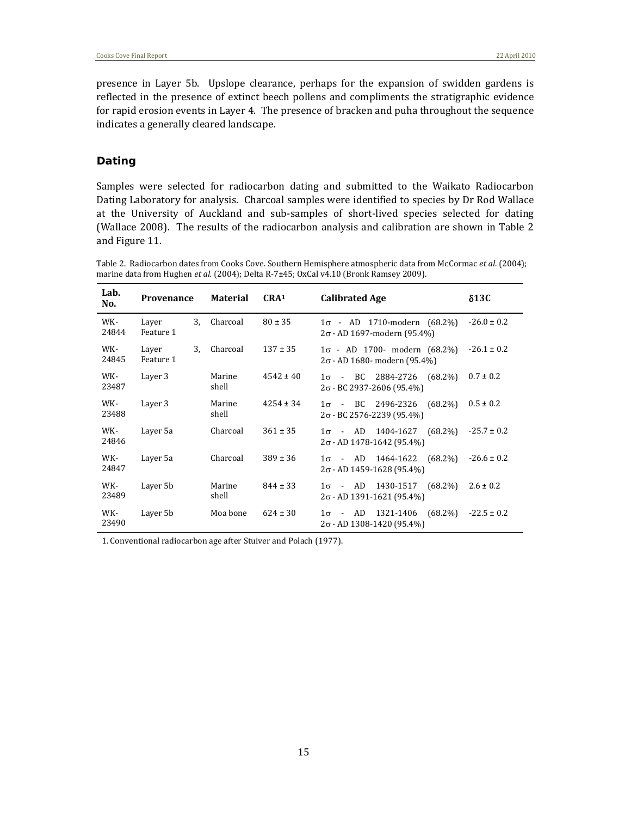presence in Layer 5b. Upslope clearance, perhaps for the expansion of swidden gardens is reflected in the presence of extinct beech pollens and compliments the stratigraphic evidence for rapid erosion events in Layer 4. The presence of bracken and puha throughout the sequence indicates a generally cleared landscape.

#### *Dating*

Samples were selected for radiocarbon dating and submitted to the Waikato Radiocarbon Dating Laboratory for analysis. Charcoal samples were identified to species by Dr Rod Wallace at the University of Auckland and sub-samples of short-lived species selected for dating (Wallace 2008). The results of the radiocarbon analysis and calibration are shown in Table 2 and Figure 11.

Table 2. Radiocarbon dates from Cooks Cove. Southern Hemisphere atmospheric data from McCormac *et al*. (2004); marine data from Hughen *et al.* (2004); Delta R‐7**±**45; OxCal v4.10 (Bronk Ramsey 2009).

| Lab.<br>No.  | <b>Provenance</b>        | <b>Material</b> | CRA <sup>1</sup> | <b>Calibrated Age</b>                                                      | $\delta$ 13C    |
|--------------|--------------------------|-----------------|------------------|----------------------------------------------------------------------------|-----------------|
| WK-<br>24844 | 3.<br>Layer<br>Feature 1 | Charcoal        | $80 \pm 35$      | $1\sigma$ - AD 1710-modern (68.2%)<br>2σ - AD 1697-modern (95.4%)          | $-26.0 \pm 0.2$ |
| WK-<br>24845 | 3.<br>Layer<br>Feature 1 | Charcoal        | $137 \pm 35$     | $1\sigma$ - AD 1700- modern (68.2%)<br>2σ - AD 1680- modern (95.4%)        | $-26.1 \pm 0.2$ |
| WK-<br>23487 | Layer 3                  | Marine<br>shell | $4542 \pm 40$    | $1\sigma$ - BC 2884-2726<br>$(68.2\%)$<br>$2\sigma$ - BC 2937-2606 (95.4%) | $0.7 \pm 0.2$   |
| WK-<br>23488 | Layer 3                  | Marine<br>shell | $4254 \pm 34$    | $(68.2\%)$<br>$1\sigma$ - BC 2496-2326<br>2σ - BC 2576-2239 (95.4%)        | $0.5 \pm 0.2$   |
| WK-<br>24846 | Layer 5a                 | Charcoal        | $361 \pm 35$     | $1\sigma$ - AD 1404-1627 (68.2%)<br>$2\sigma$ - AD 1478-1642 (95.4%)       | $-25.7 \pm 0.2$ |
| WK-<br>24847 | Layer 5a                 | Charcoal        | $389 \pm 36$     | $1\sigma$ - AD 1464-1622<br>$(68.2\%)$<br>$2\sigma$ - AD 1459-1628 (95.4%) | $-26.6 \pm 0.2$ |
| WK-<br>23489 | Layer 5b                 | Marine<br>shell | $844 \pm 33$     | $1\sigma$ - AD 1430-1517<br>$(68.2\%)$<br>$2\sigma$ - AD 1391-1621 (95.4%) | $2.6 \pm 0.2$   |
| WK-<br>23490 | Layer 5b                 | Moa bone        | $624 \pm 30$     | $1\sigma$ - AD 1321-1406<br>$(68.2\%)$<br>$2\sigma$ - AD 1308-1420 (95.4%) | $-22.5 \pm 0.2$ |

1. Conventional radiocarbon age after Stuiver and Polach (1977).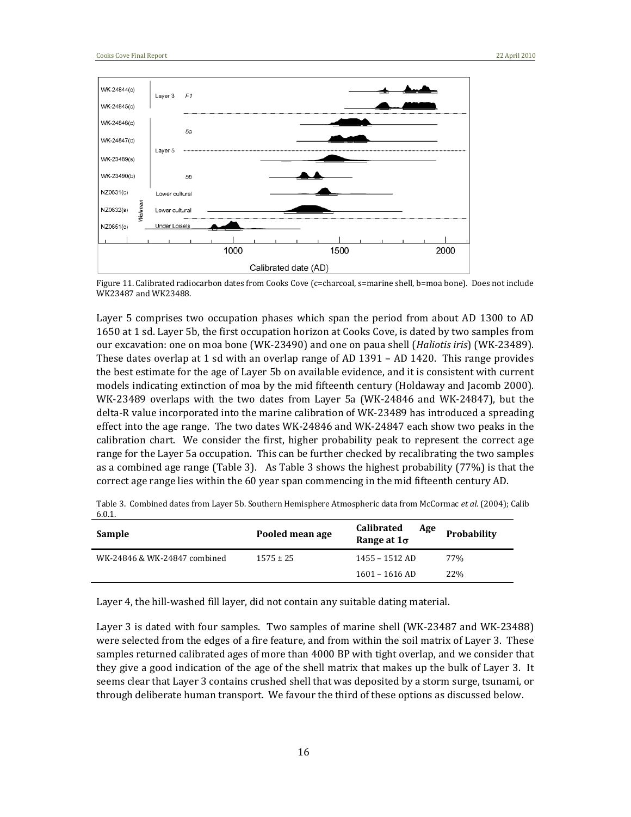

Figure 11. Calibrated radiocarbon dates from Cooks Cove (c=charcoal, s=marine shell, b=moa bone). Does not include WK23487 and WK23488.

Layer 5 comprises two occupation phases which span the period from about AD 1300 to AD 1650 at 1 sd. Layer 5b, the first occupation horizon at Cooks Cove, is dated by two samples from our excavation: one on moa bone (WK‐23490) and one on paua shell (*Haliotis iris*) (WK‐23489). These dates overlap at 1 sd with an overlap range of AD 1391 – AD 1420. This range provides the best estimate for the age of Layer 5b on available evidence, and it is consistent with current models indicating extinction of moa by the mid fifteenth century (Holdaway and Jacomb 2000). WK-23489 overlaps with the two dates from Layer 5a (WK-24846 and WK-24847), but the delta‐R value incorporated into the marine calibration of WK‐23489 has introduced a spreading effect into the age range. The two dates WK‐24846 and WK‐24847 each show two peaks in the calibration chart. We consider the first, higher probability peak to represent the correct age range for the Layer 5a occupation. This can be further checked by recalibrating the two samples as a combined age range (Table 3). As Table 3 shows the highest probability (77%) is that the correct age range lies within the 60 year span commencing in the mid fifteenth century AD.

Table 3. Combined dates from Layer 5b. Southern Hemisphere Atmospheric data from McCormac *et al*. (2004); Calib 6.0.1.

| Sample                       | Pooled mean age | <b>Calibrated</b><br>Age<br>Range at $1\sigma$ |     |
|------------------------------|-----------------|------------------------------------------------|-----|
| WK-24846 & WK-24847 combined | $1575 \pm 25$   | $1455 - 1512$ AD                               | 77% |
|                              |                 | $1601 - 1616$ AD                               | 22% |

Layer 4, the hill-washed fill layer, did not contain any suitable dating material.

Layer 3 is dated with four samples. Two samples of marine shell (WK-23487 and WK-23488) were selected from the edges of a fire feature, and from within the soil matrix of Layer 3. These samples returned calibrated ages of more than 4000 BP with tight overlap, and we consider that they give a good indication of the age of the shell matrix that makes up the bulk of Layer 3. It seems clear that Layer 3 contains crushed shell that was deposited by a storm surge, tsunami, or through deliberate human transport. We favour the third of these options as discussed below.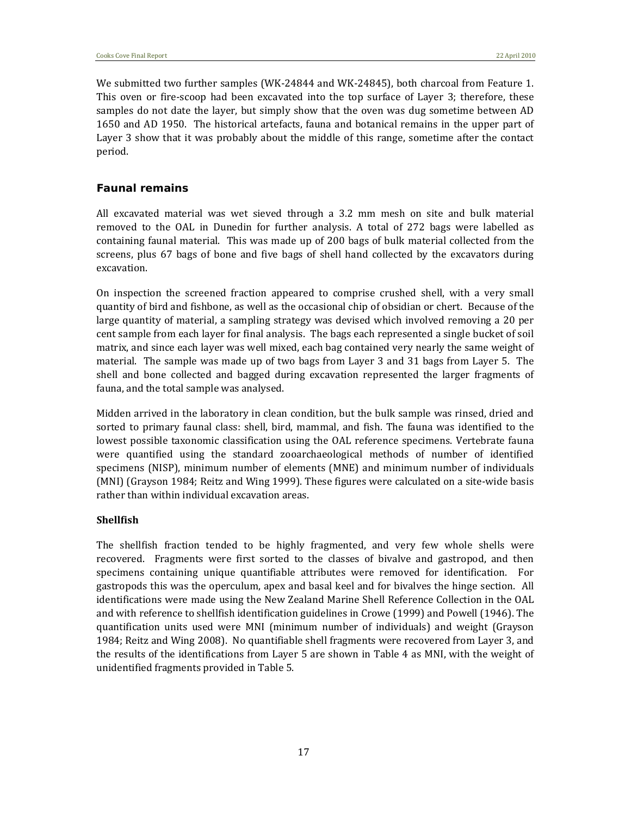We submitted two further samples (WK‐24844 and WK‐24845), both charcoal from Feature 1. This oven or fire-scoop had been excavated into the top surface of Layer 3; therefore, these samples do not date the layer, but simply show that the oven was dug sometime between AD 1650 and AD 1950. The historical artefacts, fauna and botanical remains in the upper part of Layer 3 show that it was probably about the middle of this range, sometime after the contact period.

#### *Faunal remains*

All excavated material was wet sieved through a 3.2 mm mesh on site and bulk material removed to the OAL in Dunedin for further analysis. A total of 272 bags were labelled as containing faunal material. This was made up of 200 bags of bulk material collected from the screens, plus 67 bags of bone and five bags of shell hand collected by the excavators during excavation.

On inspection the screened fraction appeared to comprise crushed shell, with a very small quantity of bird and fishbone, as well as the occasional chip of obsidian or chert. Because of the large quantity of material, a sampling strategy was devised which involved removing a 20 per cent sample from each layer for final analysis. The bags each represented a single bucket of soil matrix, and since each layer was well mixed, each bag contained very nearly the same weight of material. The sample was made up of two bags from Layer 3 and 31 bags from Layer 5. The shell and bone collected and bagged during excavation represented the larger fragments of fauna, and the total sample was analysed.

Midden arrived in the laboratory in clean condition, but the bulk sample was rinsed, dried and sorted to primary faunal class: shell, bird, mammal, and fish. The fauna was identified to the lowest possible taxonomic classification using the OAL reference specimens. Vertebrate fauna were quantified using the standard zooarchaeological methods of number of identified specimens (NISP), minimum number of elements (MNE) and minimum number of individuals (MNI) (Grayson 1984; Reitz and Wing 1999). These figures were calculated on a site-wide basis rather than within individual excavation areas.

#### **Shellfish**

The shellfish fraction tended to be highly fragmented, and very few whole shells were recovered. Fragments were first sorted to the classes of bivalve and gastropod, and then specimens containing unique quantifiable attributes were removed for identification. For gastropods this was the operculum, apex and basal keel and for bivalves the hinge section. All identifications were made using the New Zealand Marine Shell Reference Collection in the OAL and with reference to shellfish identification guidelines in Crowe (1999) and Powell (1946). The quantification units used were MNI (minimum number of individuals) and weight (Grayson 1984; Reitz and Wing 2008). No quantifiable shell fragments were recovered from Layer 3, and the results of the identifications from Layer 5 are shown in Table 4 as MNI, with the weight of unidentified fragments provided in Table 5.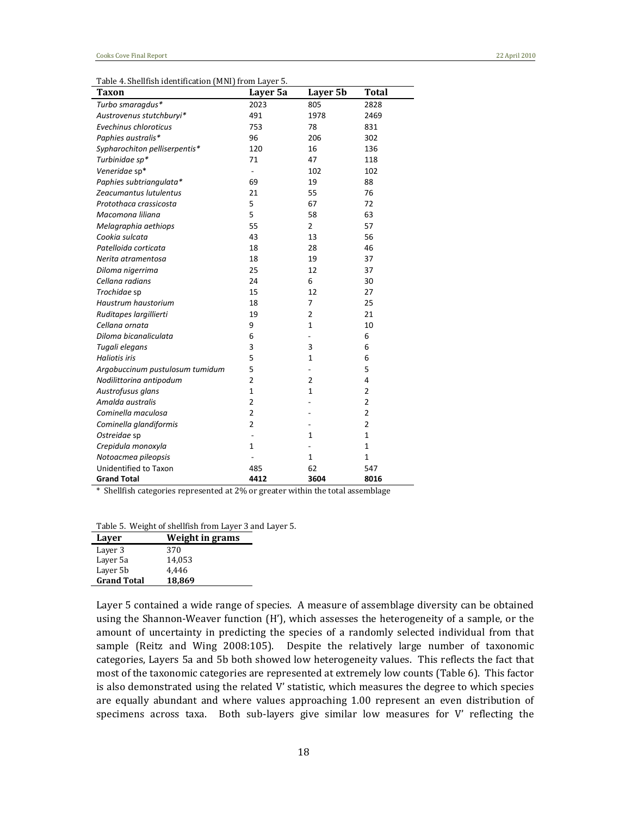Table 4. Shellfish identification (MNI) from Layer 5.

| Taxon                           | Layer 5a       | Layer 5b     | Total          |
|---------------------------------|----------------|--------------|----------------|
| Turbo smaragdus*                | 2023           | 805          | 2828           |
| Austrovenus stutchburyi*        | 491            | 1978         | 2469           |
| Evechinus chloroticus           | 753            | 78           | 831            |
| Paphies australis*              | 96             | 206          | 302            |
| Sypharochiton pelliserpentis*   | 120            | 16           | 136            |
| Turbinidae sp*                  | 71             | 47           | 118            |
| Veneridae sp*                   |                | 102          | 102            |
| Paphies subtriangulata*         | 69             | 19           | 88             |
| Zeacumantus lutulentus          | 21             | 55           | 76             |
| Protothaca crassicosta          | 5              | 67           | 72             |
| Macomona liliana                | 5              | 58           | 63             |
| Melagraphia aethiops            | 55             | 2            | 57             |
| Cookia sulcata                  | 43             | 13           | 56             |
| Patelloida corticata            | 18             | 28           | 46             |
| Nerita atramentosa              | 18             | 19           | 37             |
| Diloma nigerrima                | 25             | 12           | 37             |
| Cellana radians                 | 24             | 6            | 30             |
| Trochidae sp                    | 15             | 12           | 27             |
| Haustrum haustorium             | 18             | 7            | 25             |
| Ruditapes largillierti          | 19             | 2            | 21             |
| Cellana ornata                  | 9              | $\mathbf{1}$ | 10             |
| Diloma bicanaliculata           | 6              |              | 6              |
| Tugali elegans                  | 3              | 3            | 6              |
| <b>Haliotis iris</b>            | 5              | 1            | 6              |
| Argobuccinum pustulosum tumidum | 5              |              | 5              |
| Nodilittorina antipodum         | 2              | 2            | 4              |
| Austrofusus glans               | $\mathbf{1}$   | 1            | 2              |
| Amalda australis                | $\overline{2}$ |              | $\overline{2}$ |
| Cominella maculosa              | $\overline{2}$ |              | $\overline{2}$ |
| Cominella glandiformis          | $\overline{2}$ |              | $\overline{2}$ |
| Ostreidae sp                    | $\overline{a}$ | 1            | $\mathbf{1}$   |
| Crepidula monoxyla              | $\mathbf{1}$   |              | $\mathbf{1}$   |
| Notoacmea pileopsis             |                | $\mathbf{1}$ | 1              |
| Unidentified to Taxon           | 485            | 62           | 547            |
| <b>Grand Total</b>              | 4412           | 3604         | 8016           |

\* Shellfish categories represented at 2% or greater within the total assemblage

Table 5. Weight of shellfish from Layer 3 and Layer 5.

| Laver              | Weight in grams |
|--------------------|-----------------|
| Layer 3            | 370             |
| Layer 5a           | 14,053          |
| Laver 5b           | 4.446           |
| <b>Grand Total</b> | 18,869          |

Layer 5 contained a wide range of species. A measure of assemblage diversity can be obtained using the Shannon-Weaver function (H'), which assesses the heterogeneity of a sample, or the amount of uncertainty in predicting the species of a randomly selected individual from that sample (Reitz and Wing 2008:105). Despite the relatively large number of taxonomic categories, Layers 5a and 5b both showed low heterogeneity values. This reflects the fact that most of the taxonomic categories are represented at extremely low counts (Table 6). This factor is also demonstrated using the related V' statistic, which measures the degree to which species are equally abundant and where values approaching 1.00 represent an even distribution of specimens across taxa. Both sub-layers give similar low measures for V' reflecting the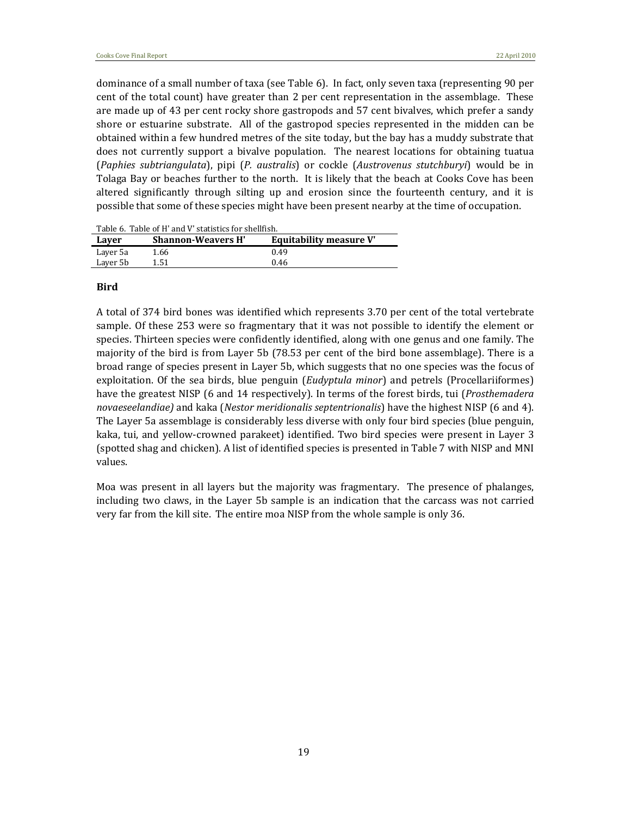dominance of a small number of taxa (see Table 6). In fact, only seven taxa (representing 90 per cent of the total count) have greater than 2 per cent representation in the assemblage. These are made up of 43 per cent rocky shore gastropods and 57 cent bivalves, which prefer a sandy shore or estuarine substrate. All of the gastropod species represented in the midden can be obtained within a few hundred metres of the site today, but the bay has a muddy substrate that does not currently support a bivalve population. The nearest locations for obtaining tuatua (*Paphies subtriangulata*), pipi (*P. australis*) or cockle (*Austrovenus stutchburyi*) would be in Tolaga Bay or beaches further to the north. It is likely that the beach at Cooks Cove has been altered significantly through silting up and erosion since the fourteenth century, and it is possible that some of these species might have been present nearby at the time of occupation.

|          | Table 0. Table 01 II ally v Statistics IVI Sileniisil. |                         |
|----------|--------------------------------------------------------|-------------------------|
| Laver    | <b>Shannon-Weavers H'</b>                              | Equitability measure V' |
| Laver 5a | 1.66                                                   | 0.49                    |
| Laver 5b | 1.51                                                   | 0.46                    |

Table 6. Table of H' and V' statistics for shellfish.

#### **Bird**

A total of 374 bird bones was identified which represents 3.70 per cent of the total vertebrate sample. Of these 253 were so fragmentary that it was not possible to identify the element or species. Thirteen species were confidently identified, along with one genus and one family. The majority of the bird is from Layer 5b (78.53 per cent of the bird bone assemblage). There is a broad range of species present in Layer 5b, which suggests that no one species was the focus of exploitation. Of the sea birds, blue penguin (*Eudyptula minor*) and petrels (Procellariiformes) have the greatest NISP (6 and 14 respectively). In terms of the forest birds, tui (*Prosthemadera novaeseelandiae)* and kaka (*Nestor meridionalis septentrionalis*) have the highest NISP (6 and 4). The Layer 5a assemblage is considerably less diverse with only four bird species (blue penguin, kaka, tui, and yellow-crowned parakeet) identified. Two bird species were present in Layer 3 (spotted shag and chicken). A list of identified species is presented in Table 7 with NISP and MNI values.

Moa was present in all layers but the majority was fragmentary. The presence of phalanges, including two claws, in the Layer 5b sample is an indication that the carcass was not carried very far from the kill site. The entire moa NISP from the whole sample is only 36.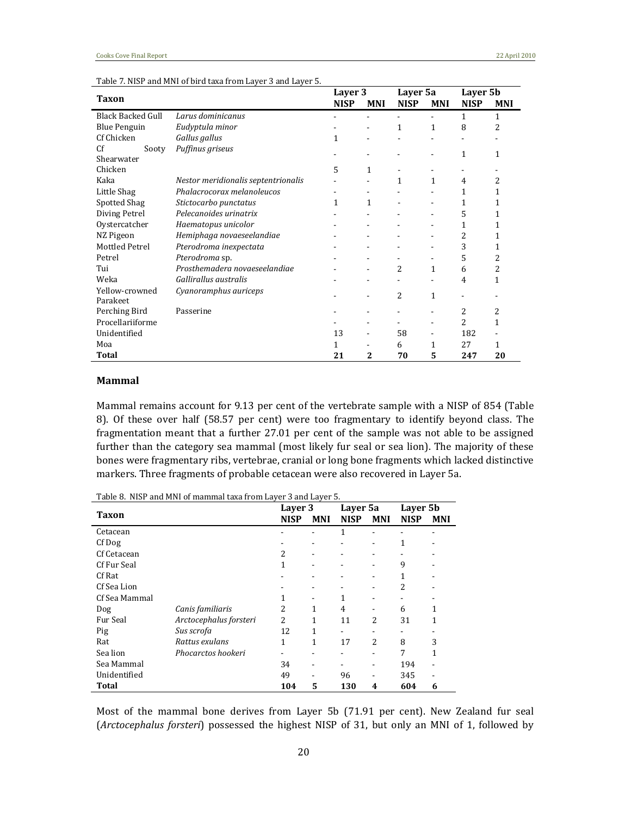|                          |                                     | Layer 3     |            | Layer 5a    |              | Layer 5b    |                |
|--------------------------|-------------------------------------|-------------|------------|-------------|--------------|-------------|----------------|
| Taxon                    |                                     | <b>NISP</b> | <b>MNI</b> | <b>NISP</b> | <b>MNI</b>   | <b>NISP</b> | <b>MNI</b>     |
| <b>Black Backed Gull</b> | Larus dominicanus                   |             |            |             |              | 1           | 1              |
| <b>Blue Penguin</b>      | Eudyptula minor                     |             |            | 1           | 1            | 8           | $\overline{2}$ |
| Cf Chicken               | Gallus gallus                       | 1           |            |             |              |             |                |
| Cf<br>Sooty              | Puffinus griseus                    |             |            |             |              | 1           | 1              |
| Shearwater               |                                     |             |            |             |              |             |                |
| Chicken                  |                                     | 5           | 1          |             |              |             |                |
| Kaka                     | Nestor meridionalis septentrionalis |             |            | 1           | $\mathbf{1}$ | 4           | 2              |
| Little Shag              | Phalacrocorax melanoleucos          |             |            |             |              | 1           | 1              |
| Spotted Shag             | Stictocarbo punctatus               | 1           | 1          |             |              | 1           | 1              |
| Diving Petrel            | Pelecanoides urinatrix              |             |            |             |              | 5           | 1              |
| Oystercatcher            | Haematopus unicolor                 |             |            |             |              | 1           | 1              |
| NZ Pigeon                | Hemiphaga novaeseelandiae           |             |            |             |              | 2           | 1              |
| Mottled Petrel           | Pterodroma inexpectata              |             |            |             |              | 3           | 1              |
| Petrel                   | Pterodroma sp.                      |             |            |             |              | 5           | 2              |
| Tui                      | Prosthemadera novaeseelandiae       |             |            | 2           | 1            | 6           | 2              |
| Weka                     | Gallirallus australis               |             |            |             |              | 4           | 1              |
| Yellow-crowned           | Cyanoramphus auriceps               |             |            | 2           |              |             |                |
| Parakeet                 |                                     |             |            |             | 1            |             |                |
| Perching Bird            | Passerine                           |             |            |             |              | 2           | 2              |
| Procellariiforme         |                                     |             |            |             | ۰            | 2           | 1              |
| Unidentified             |                                     | 13          |            | 58          |              | 182         |                |
| Moa                      |                                     | 1           |            | 6           | 1            | 27          | 1              |
| Total                    |                                     | 21          | 2          | 70          | 5            | 247         | 20             |

Table 7. NISP and MNI of bird taxa from Layer 3 and Layer 5.

#### **Mammal**

Mammal remains account for 9.13 per cent of the vertebrate sample with a NISP of 854 (Table 8). Of these over half (58.57 per cent) were too fragmentary to identify beyond class. The fragmentation meant that a further 27.01 per cent of the sample was not able to be assigned further than the category sea mammal (most likely fur seal or sea lion). The majority of these bones were fragmentary ribs, vertebrae, cranial or long bone fragments which lacked distinctive markers. Three fragments of probable cetacean were also recovered in Layer 5a.

| Lable 8.  NISP and MNI of mammal taxa from Layer 3 and Layer 5. | Layer 3                |                | Layer 5a   |                | Layer 5b       |             |            |
|-----------------------------------------------------------------|------------------------|----------------|------------|----------------|----------------|-------------|------------|
| Taxon                                                           |                        |                | <b>MNI</b> | <b>NISP</b>    | <b>MNI</b>     | <b>NISP</b> | <b>MNI</b> |
| Cetacean                                                        |                        |                |            | 1              |                |             |            |
| Cf Dog                                                          |                        |                |            |                |                | 1           |            |
| Cf Cetacean                                                     |                        | 2              |            |                |                |             |            |
| Cf Fur Seal                                                     |                        | 1              | ۰          |                |                | 9           |            |
| Cf Rat                                                          |                        |                |            |                |                | 1           |            |
| Cf Sea Lion                                                     |                        |                | ۰          |                |                | 2           |            |
| Cf Sea Mammal                                                   |                        |                |            | 1              |                |             |            |
| Dog                                                             | Canis familiaris       | 2              | 1          | $\overline{4}$ |                | 6           | 1          |
| Fur Seal                                                        | Arctocephalus forsteri | $\overline{2}$ | 1          | 11             | $\overline{c}$ | 31          | 1          |
| Pig                                                             | Sus scrofa             | 12             | 1          |                |                |             |            |
| Rat                                                             | Rattus exulans         | 1              | 1          | 17             | $\overline{2}$ | 8           | 3          |
| Sea lion                                                        | Phocarctos hookeri     |                |            |                |                | 7           | 1          |
| Sea Mammal                                                      |                        | 34             |            |                |                | 194         |            |
| Unidentified                                                    |                        | 49             |            | 96             |                | 345         |            |
| Total                                                           |                        | 104            | 5          | 130            | 4              | 604         | 6          |

Table 8. NISP and MNI of mammal taxa from Layer 3 and Layer 5.

Most of the mammal bone derives from Layer 5b (71.91 per cent). New Zealand fur seal (*Arctocephalus forsteri*) possessed the highest NISP of 31, but only an MNI of 1, followed by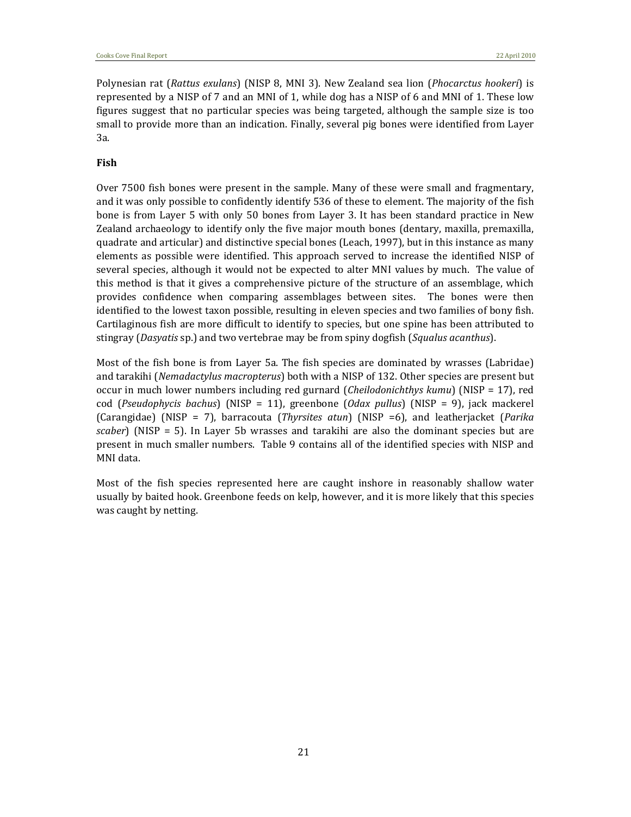Polynesian rat (*Rattus exulans*) (NISP 8, MNI 3). New Zealand sea lion (*Phocarctus hookeri*) is represented by a NISP of 7 and an MNI of 1, while dog has a NISP of 6 and MNI of 1. These low figures suggest that no particular species was being targeted, although the sample size is too small to provide more than an indication. Finally, several pig bones were identified from Layer 3a.

#### **Fish**

Over 7500 fish bones were present in the sample. Many of these were small and fragmentary, and it was only possible to confidently identify 536 of these to element. The majority of the fish bone is from Layer 5 with only 50 bones from Layer 3. It has been standard practice in New Zealand archaeology to identify only the five major mouth bones (dentary, maxilla, premaxilla, quadrate and articular) and distinctive special bones (Leach, 1997), but in this instance as many elements as possible were identified. This approach served to increase the identified NISP of several species, although it would not be expected to alter MNI values by much. The value of this method is that it gives a comprehensive picture of the structure of an assemblage, which provides confidence when comparing assemblages between sites. The bones were then identified to the lowest taxon possible, resulting in eleven species and two families of bony fish. Cartilaginous fish are more difficult to identify to species, but one spine has been attributed to stingray (*Dasyatis* sp.) and two vertebrae may be from spiny dogfish (*Squalus acanthus*).

Most of the fish bone is from Layer 5a. The fish species are dominated by wrasses (Labridae) and tarakihi (*Nemadactylus macropterus*) both with a NISP of 132. Other species are present but occur in much lower numbers including red gurnard (*Cheilodonichthys kumu*) (NISP = 17), red cod (*Pseudophycis bachus*) (NISP = 11), greenbone (*Odax pullus*) (NISP = 9), jack mackerel (Carangidae) (NISP = 7), barracouta (*Thyrsites atun*) (NISP =6), and leatherjacket (*Parika scaber*) (NISP = 5). In Layer 5b wrasses and tarakihi are also the dominant species but are present in much smaller numbers. Table 9 contains all of the identified species with NISP and MNI data.

Most of the fish species represented here are caught inshore in reasonably shallow water usually by baited hook. Greenbone feeds on kelp, however, and it is more likely that this species was caught by netting.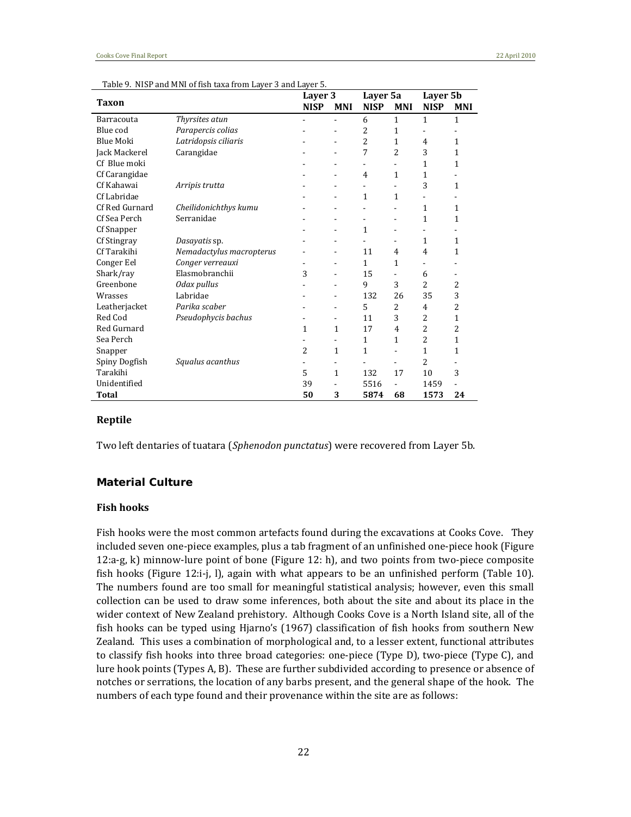|                    |                          | Layer 3     |                | Layer 5a       |                          | Layer 5b                 |            |
|--------------------|--------------------------|-------------|----------------|----------------|--------------------------|--------------------------|------------|
| Taxon              |                          | <b>NISP</b> | <b>MNI</b>     | <b>NISP</b>    | <b>MNI</b>               | <b>NISP</b>              | <b>MNI</b> |
| Barracouta         | Thyrsites atun           |             | $\blacksquare$ | 6              | 1                        | 1                        | 1          |
| Blue cod           | Parapercis colias        |             |                | 2              | 1                        |                          |            |
| <b>Blue Moki</b>   | Latridopsis ciliaris     |             |                | $\overline{2}$ | 1                        | 4                        | 1          |
| Jack Mackerel      | Carangidae               |             |                | 7              | 2                        | 3                        | 1          |
| Cf Blue moki       |                          |             |                |                |                          | 1                        | 1          |
| Cf Carangidae      |                          |             |                | 4              | 1                        | 1                        |            |
| Cf Kahawai         | Arripis trutta           |             |                | ٠              | $\blacksquare$           | 3                        | 1          |
| Cf Labridae        |                          |             |                | 1              | 1                        | $\overline{\phantom{0}}$ |            |
| Cf Red Gurnard     | Cheilidonichthys kumu    |             |                |                |                          | $\mathbf{1}$             | 1          |
| Cf Sea Perch       | Serranidae               |             |                | ٠              | $\overline{\phantom{0}}$ | 1                        | 1          |
| Cf Snapper         |                          |             |                | 1              | ٠                        | ۰                        |            |
| Cf Stingray        | Dasayatis sp.            |             |                |                | $\overline{\phantom{0}}$ | $\mathbf{1}$             | 1          |
| Cf Tarakihi        | Nemadactylus macropterus |             |                | 11             | 4                        | $\overline{4}$           | 1          |
| Conger Eel         | Conger verreauxi         |             |                | 1              | 1                        |                          |            |
| Shark/ray          | Elasmobranchii           | 3           |                | 15             | ä,                       | 6                        |            |
| Greenbone          | Odax pullus              |             |                | 9              | 3                        | $\overline{2}$           | 2          |
| Wrasses            | Labridae                 |             |                | 132            | 26                       | 35                       | 3          |
| Leatherjacket      | Parika scaber            |             |                | 5              | 2                        | 4                        | 2          |
| Red Cod            | Pseudophycis bachus      |             |                | 11             | 3                        | 2                        | 1          |
| <b>Red Gurnard</b> |                          | 1           | $\mathbf{1}$   | 17             | $\overline{4}$           | 2                        | 2          |
| Sea Perch          |                          |             |                | 1              | $\mathbf{1}$             | 2                        | 1          |
| Snapper            |                          | 2           | $\mathbf{1}$   | $\mathbf{1}$   | ä,                       | $\mathbf{1}$             | 1          |
| Spiny Dogfish      | Squalus acanthus         |             |                |                |                          | 2                        |            |
| Tarakihi           |                          | 5           | $\mathbf{1}$   | 132            | 17                       | 10                       | 3          |
| Unidentified       |                          | 39          |                | 5516           |                          | 1459                     |            |
| Total              |                          | 50          | 3              | 5874           | 68                       | 1573                     | 24         |

Table 9. NISP and MNI of fish taxa from Layer 3 and Layer 5.

#### **Reptile**

Two left dentaries of tuatara (*Sphenodon punctatus*) were recovered from Layer 5b.

#### *Material Culture*

#### **Fish hooks**

Fish hooks were the most common artefacts found during the excavations at Cooks Cove. They included seven one‐piece examples, plus a tab fragment of an unfinished one‐piece hook (Figure 12:a‐g, k) minnow‐lure point of bone (Figure 12: h), and two points from two‐piece composite fish hooks (Figure 12:i-j, l), again with what appears to be an unfinished perform (Table 10). The numbers found are too small for meaningful statistical analysis; however, even this small collection can be used to draw some inferences, both about the site and about its place in the wider context of New Zealand prehistory. Although Cooks Cove is a North Island site, all of the fish hooks can be typed using Hjarno's (1967) classification of fish hooks from southern New Zealand. This uses a combination of morphological and, to a lesser extent, functional attributes to classify fish hooks into three broad categories: one-piece (Type D), two-piece (Type C), and lure hook points (Types A, B). These are further subdivided according to presence or absence of notches or serrations, the location of any barbs present, and the general shape of the hook. The numbers of each type found and their provenance within the site are as follows: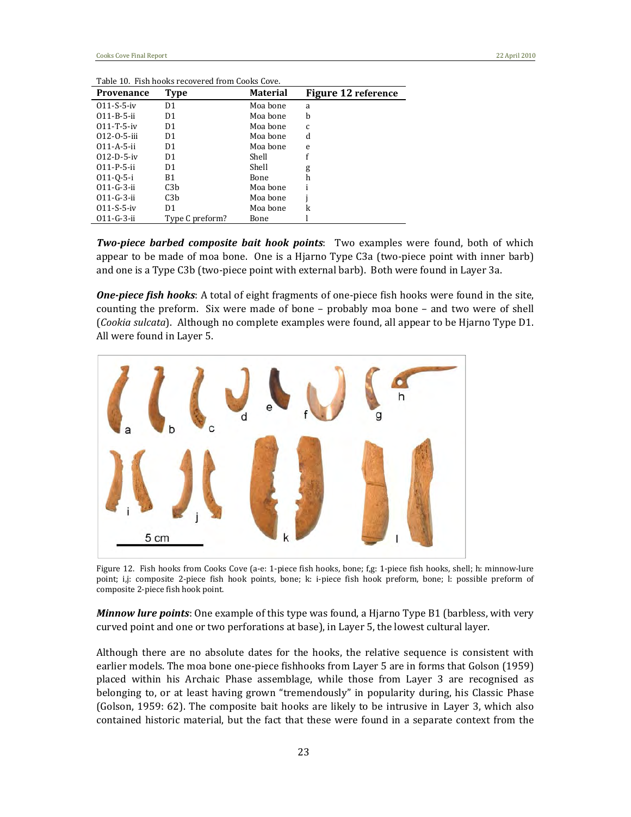| <b>Provenance</b>   | Type             | <b>Material</b> | Figure 12 reference |
|---------------------|------------------|-----------------|---------------------|
| $011-S-5-iv$        | D <sub>1</sub>   | Moa bone        | a                   |
| $011 - B - 5 - ii$  | D <sub>1</sub>   | Moa bone        | b                   |
| $011 - T - 5 - iv$  | D1               | Moa bone        | C                   |
| $012 - 0 - 5 -$ iii | D1               | Moa bone        | d                   |
| $011 - A - 5 - ii$  | D1               | Moa bone        | e                   |
| $012 - D - 5 - iv$  | D1               | Shell           |                     |
| $011-P-5-ii$        | D1               | Shell           | g                   |
| $011 - 0 - 5 - i$   | B1               | Bone            | h                   |
| $011 - G - 3 - ii$  | C <sub>3</sub> b | Moa bone        |                     |
| $011-G-3-ii$        | C <sub>3</sub> b | Moa bone        |                     |
| $011-S-5-iv$        | D1               | Moa bone        | k                   |
| $011-G-3-ii$        | Type C preform?  | Bone            |                     |

Table 10. Fish hooks recovered from Cooks Cove.

*Twopiece barbed composite bait hook points*: Two examples were found, both of which appear to be made of moa bone. One is a Hjarno Type C3a (two-piece point with inner barb) and one is a Type C3b (two‐piece point with external barb). Both were found in Layer 3a.

*Onepiece fish hooks*: A total of eight fragments of one‐piece fish hooks were found in the site, counting the preform. Six were made of bone - probably moa bone - and two were of shell (*Cookia sulcata*). Although no complete examples were found, all appear to be Hjarno Type D1. All were found in Layer 5.



Figure 12. Fish hooks from Cooks Cove (a‐e: 1‐piece fish hooks, bone; f,g: 1‐piece fish hooks, shell; h: minnow‐lure point; i,j: composite 2-piece fish hook points, bone; k: i-piece fish hook preform, bone; l: possible preform of composite 2‐piece fish hook point.

*Minnow lure points*: One example of this type was found, a Hjarno Type B1 (barbless, with very curved point and one or two perforations at base), in Layer 5, the lowest cultural layer.

Although there are no absolute dates for the hooks, the relative sequence is consistent with earlier models. The moa bone one‐piece fishhooks from Layer 5 are in forms that Golson (1959) placed within his Archaic Phase assemblage, while those from Layer 3 are recognised as belonging to, or at least having grown "tremendously" in popularity during, his Classic Phase (Golson, 1959: 62). The composite bait hooks are likely to be intrusive in Layer 3, which also contained historic material, but the fact that these were found in a separate context from the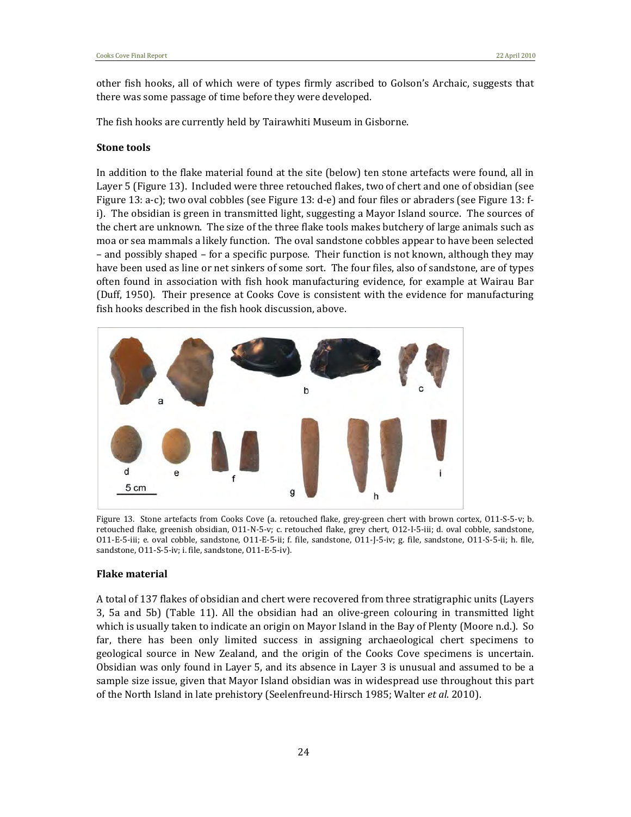other fish hooks, all of which were of types firmly ascribed to Golson's Archaic, suggests that there was some passage of time before they were developed.

The fish hooks are currently held by Tairawhiti Museum in Gisborne.

#### **Stone tools**

In addition to the flake material found at the site (below) ten stone artefacts were found, all in Layer 5 (Figure 13). Included were three retouched flakes, two of chert and one of obsidian (see Figure 13: a-c); two oval cobbles (see Figure 13: d-e) and four files or abraders (see Figure 13: fi). The obsidian is green in transmitted light, suggesting a Mayor Island source. The sources of the chert are unknown. The size of the three flake tools makes butchery of large animals such as moa or sea mammals a likely function. The oval sandstone cobbles appear to have been selected – and possibly shaped – for a specific purpose. Their function is not known, although they may have been used as line or net sinkers of some sort. The four files, also of sandstone, are of types often found in association with fish hook manufacturing evidence, for example at Wairau Bar (Duff, 1950). Their presence at Cooks Cove is consistent with the evidence for manufacturing fish hooks described in the fish hook discussion, above.



Figure 13. Stone artefacts from Cooks Cove (a. retouched flake, grey-green chert with brown cortex, 011-S-5-v; b. retouched flake, greenish obsidian, O11‐N‐5‐v; c. retouched flake, grey chert, O12‐I‐5‐iii; d. oval cobble, sandstone, O11‐E‐5‐iii; e. oval cobble, sandstone, O11‐E‐5‐ii; f. file, sandstone, O11‐J‐5‐iv; g. file, sandstone, O11‐S‐5‐ii; h. file, sandstone, O11-S-5-iv; i. file, sandstone, O11-E-5-iv).

#### **Flake material**

A total of 137 flakes of obsidian and chert were recovered from three stratigraphic units (Layers 3, 5a and 5b) (Table 11). All the obsidian had an olive‐green colouring in transmitted light which is usually taken to indicate an origin on Mayor Island in the Bay of Plenty (Moore n.d.). So far, there has been only limited success in assigning archaeological chert specimens to geological source in New Zealand, and the origin of the Cooks Cove specimens is uncertain. Obsidian was only found in Layer 5, and its absence in Layer 3 is unusual and assumed to be a sample size issue, given that Mayor Island obsidian was in widespread use throughout this part of the North Island in late prehistory (Seelenfreund‐Hirsch 1985; Walter *et al*. 2010).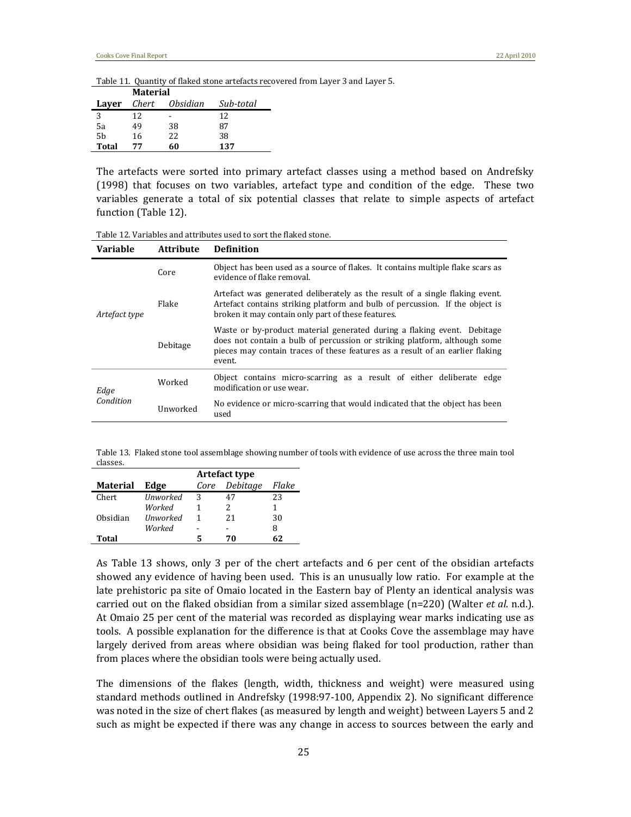Table 11. Quantity of flaked stone artefacts recovered from Layer 3 and Layer 5.

|       | Material |          |           |
|-------|----------|----------|-----------|
| Layer | Chert    | Obsidian | Sub-total |
| 3     | 12       |          | 12        |
| 5a    | 49       | 38       | 87        |
| 5b    | 16       | 22       | 38        |
| Total | 77       | 60       | 137       |

The artefacts were sorted into primary artefact classes using a method based on Andrefsky (1998) that focuses on two variables, artefact type and condition of the edge. These two variables generate a total of six potential classes that relate to simple aspects of artefact function (Table 12).

| Variable          | <b>Attribute</b> | <b>Definition</b>                                                                                                                                                                                                                               |  |
|-------------------|------------------|-------------------------------------------------------------------------------------------------------------------------------------------------------------------------------------------------------------------------------------------------|--|
|                   | Core             | Object has been used as a source of flakes. It contains multiple flake scars as<br>evidence of flake removal.                                                                                                                                   |  |
| Artefact type     | Flake            | Artefact was generated deliberately as the result of a single flaking event.<br>Artefact contains striking platform and bulb of percussion. If the object is<br>broken it may contain only part of these features.                              |  |
|                   | Debitage         | Waste or by-product material generated during a flaking event. Debitage<br>does not contain a bulb of percussion or striking platform, although some<br>pieces may contain traces of these features as a result of an earlier flaking<br>event. |  |
| Edge<br>Condition | Worked           | Object contains micro-scarring as a result of either deliberate edge<br>modification or use wear.                                                                                                                                               |  |
|                   | Unworked         | No evidence or micro-scarring that would indicated that the object has been<br>used                                                                                                                                                             |  |

Table 12. Variables and attributes used to sort the flaked stone.

Table 13. Flaked stone tool assemblage showing number of tools with evidence of use across the three main tool classes.

|                 | Artefact type   |      |          |       |
|-----------------|-----------------|------|----------|-------|
| <b>Material</b> | Edge            | Core | Debitage | Flake |
| Chert           | <b>Unworked</b> | 3    | 47       | 23    |
|                 | Worked          |      | 2        |       |
| Obsidian        | <b>Unworked</b> | 1    | 21       | 30    |
|                 | Worked          |      |          | 8     |
| Total           |                 | 5    | 70       | 62    |

As Table 13 shows, only 3 per of the chert artefacts and 6 per cent of the obsidian artefacts showed any evidence of having been used. This is an unusually low ratio. For example at the late prehistoric pa site of Omaio located in the Eastern bay of Plenty an identical analysis was carried out on the flaked obsidian from a similar sized assemblage (n=220) (Walter *et al*. n.d.). At Omaio 25 per cent of the material was recorded as displaying wear marks indicating use as tools. A possible explanation for the difference is that at Cooks Cove the assemblage may have largely derived from areas where obsidian was being flaked for tool production, rather than from places where the obsidian tools were being actually used.

The dimensions of the flakes (length, width, thickness and weight) were measured using standard methods outlined in Andrefsky (1998:97-100, Appendix 2). No significant difference was noted in the size of chert flakes (as measured by length and weight) between Layers 5 and 2 such as might be expected if there was any change in access to sources between the early and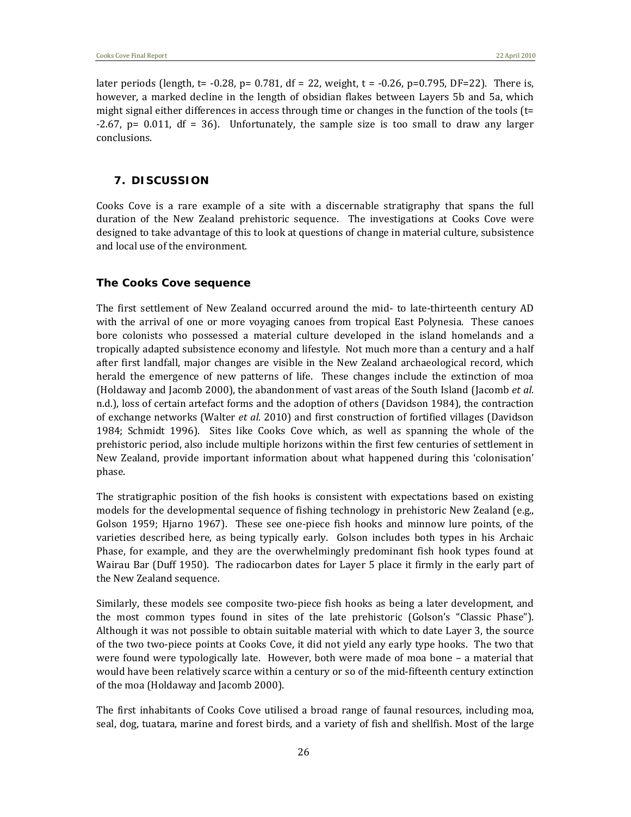later periods (length,  $t = -0.28$ ,  $p = 0.781$ ,  $df = 22$ , weight,  $t = -0.26$ ,  $p = 0.795$ ,  $DF = 22$ ). There is, however, a marked decline in the length of obsidian flakes between Layers 5b and 5a, which might signal either differences in access through time or changes in the function of the tools (t=  $-2.67$ ,  $p= 0.011$ ,  $df = 36$ . Unfortunately, the sample size is too small to draw any larger conclusions.

#### **7. DISCUSSION**

Cooks Cove is a rare example of a site with a discernable stratigraphy that spans the full duration of the New Zealand prehistoric sequence. The investigations at Cooks Cove were designed to take advantage of this to look at questions of change in material culture, subsistence and local use of the environment.

#### *The Cooks Cove sequence*

The first settlement of New Zealand occurred around the mid- to late-thirteenth century AD with the arrival of one or more voyaging canoes from tropical East Polynesia. These canoes bore colonists who possessed a material culture developed in the island homelands and a tropically adapted subsistence economy and lifestyle. Not much more than a century and a half after first landfall, major changes are visible in the New Zealand archaeological record, which herald the emergence of new patterns of life. These changes include the extinction of moa (Holdaway and Jacomb 2000), the abandonment of vast areas of the South Island (Jacomb *et al*. n.d.), loss of certain artefact forms and the adoption of others (Davidson 1984), the contraction of exchange networks (Walter *et al*. 2010) and first construction of fortified villages (Davidson 1984; Schmidt 1996). Sites like Cooks Cove which, as well as spanning the whole of the prehistoric period, also include multiple horizons within the first few centuries of settlement in New Zealand, provide important information about what happened during this 'colonisation' phase.

The stratigraphic position of the fish hooks is consistent with expectations based on existing models for the developmental sequence of fishing technology in prehistoric New Zealand (e.g., Golson 1959; Hjarno 1967). These see one-piece fish hooks and minnow lure points, of the varieties described here, as being typically early. Golson includes both types in his Archaic Phase, for example, and they are the overwhelmingly predominant fish hook types found at Wairau Bar (Duff 1950). The radiocarbon dates for Layer 5 place it firmly in the early part of the New Zealand sequence.

Similarly, these models see composite two-piece fish hooks as being a later development, and the most common types found in sites of the late prehistoric (Golson's "Classic Phase"). Although it was not possible to obtain suitable material with which to date Layer 3, the source of the two two‐piece points at Cooks Cove, it did not yield any early type hooks. The two that were found were typologically late. However, both were made of moa bone - a material that would have been relatively scarce within a century or so of the mid‐fifteenth century extinction of the moa (Holdaway and Jacomb 2000).

The first inhabitants of Cooks Cove utilised a broad range of faunal resources, including moa, seal, dog, tuatara, marine and forest birds, and a variety of fish and shellfish. Most of the large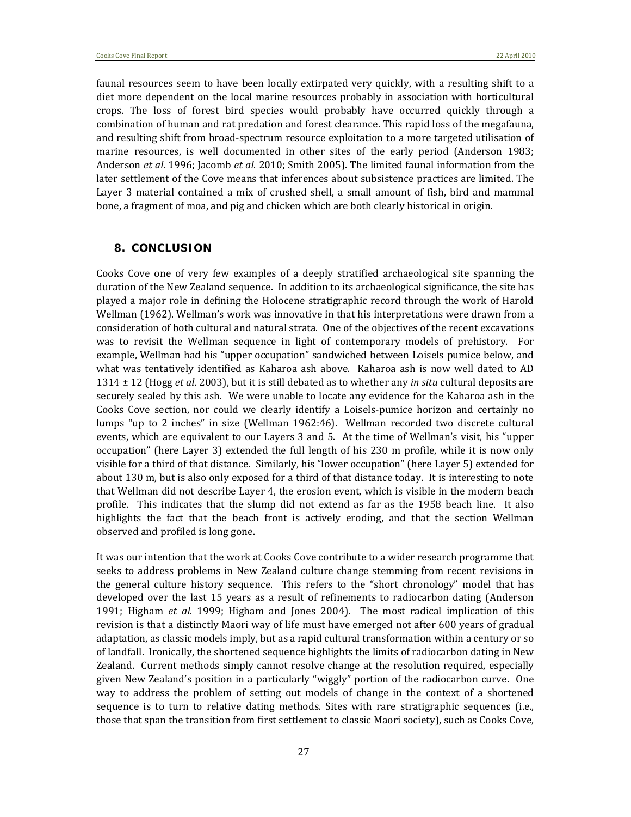faunal resources seem to have been locally extirpated very quickly, with a resulting shift to a diet more dependent on the local marine resources probably in association with horticultural crops. The loss of forest bird species would probably have occurred quickly through a combination of human and rat predation and forest clearance. This rapid loss of the megafauna, and resulting shift from broad‐spectrum resource exploitation to a more targeted utilisation of marine resources, is well documented in other sites of the early period (Anderson 1983; Anderson *et al*. 1996; Jacomb *et al*. 2010; Smith 2005). The limited faunal information from the later settlement of the Cove means that inferences about subsistence practices are limited. The Layer 3 material contained a mix of crushed shell, a small amount of fish, bird and mammal bone, a fragment of moa, and pig and chicken which are both clearly historical in origin.

#### **8. CONCLUSION**

Cooks Cove one of very few examples of a deeply stratified archaeological site spanning the duration of the New Zealand sequence. In addition to its archaeological significance, the site has played a major role in defining the Holocene stratigraphic record through the work of Harold Wellman (1962). Wellman's work was innovative in that his interpretations were drawn from a consideration of both cultural and natural strata. One of the objectives of the recent excavations was to revisit the Wellman sequence in light of contemporary models of prehistory. For example, Wellman had his "upper occupation" sandwiched between Loisels pumice below, and what was tentatively identified as Kaharoa ash above. Kaharoa ash is now well dated to AD 1314 ± 12 (Hogg *et al*. 2003), but it is still debated as to whether any *in situ* cultural deposits are securely sealed by this ash. We were unable to locate any evidence for the Kaharoa ash in the Cooks Cove section, nor could we clearly identify a Loisels-pumice horizon and certainly no lumps "up to 2 inches" in size (Wellman 1962:46). Wellman recorded two discrete cultural events, which are equivalent to our Layers 3 and 5. At the time of Wellman's visit, his "upper occupation" (here Layer 3) extended the full length of his 230 m profile, while it is now only visible for a third of that distance. Similarly, his "lower occupation" (here Layer 5) extended for about 130 m, but is also only exposed for a third of that distance today. It is interesting to note that Wellman did not describe Layer 4, the erosion event, which is visible in the modern beach profile. This indicates that the slump did not extend as far as the 1958 beach line. It also highlights the fact that the beach front is actively eroding, and that the section Wellman observed and profiled is long gone.

It was our intention that the work at Cooks Cove contribute to a wider research programme that seeks to address problems in New Zealand culture change stemming from recent revisions in the general culture history sequence. This refers to the "short chronology" model that has developed over the last 15 years as a result of refinements to radiocarbon dating (Anderson 1991; Higham *et al*. 1999; Higham and Jones 2004). The most radical implication of this revision is that a distinctly Maori way of life must have emerged not after 600 years of gradual adaptation, as classic models imply, but as a rapid cultural transformation within a century or so of landfall. Ironically, the shortened sequence highlights the limits of radiocarbon dating in New Zealand. Current methods simply cannot resolve change at the resolution required, especially given New Zealand's position in a particularly "wiggly" portion of the radiocarbon curve. One way to address the problem of setting out models of change in the context of a shortened sequence is to turn to relative dating methods. Sites with rare stratigraphic sequences (i.e., those that span the transition from first settlement to classic Maori society), such as Cooks Cove,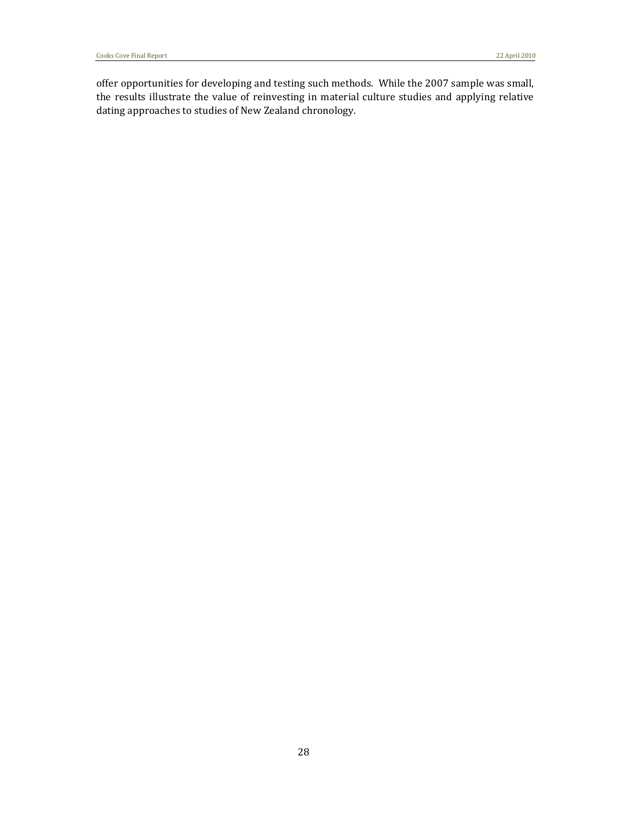offer opportunities for developing and testing such methods. While the 2007 sample was small, the results illustrate the value of reinvesting in material culture studies and applying relative dating approaches to studies of New Zealand chronology.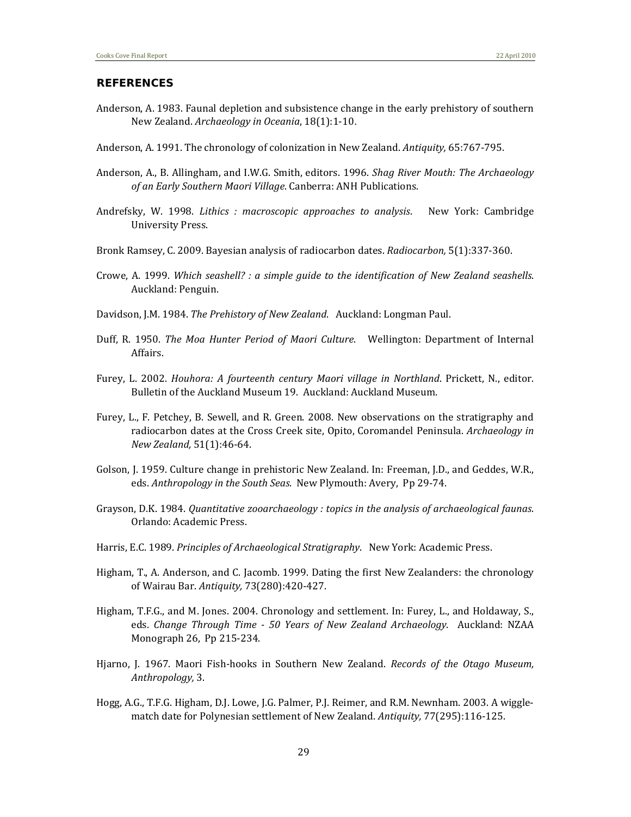#### **REFERENCES**

- Anderson, A. 1983. Faunal depletion and subsistence change in the early prehistory of southern New Zealand. *Archaeology in Oceania*, 18(1):1‐10.
- Anderson, A. 1991. The chronology of colonization in New Zealand. *Antiquity,* 65:767‐795.
- Anderson, A., B. Allingham, and I.W.G. Smith, editors. 1996. *Shag River Mouth: The Archaeology of an Early Southern Maori Village*. Canberra: ANH Publications.
- Andrefsky, W. 1998. *Lithics : macroscopic approaches to analysis*. New York: Cambridge University Press.
- Bronk Ramsey, C. 2009. Bayesian analysis of radiocarbon dates. *Radiocarbon,* 5(1):337‐360.
- Crowe, A. 1999. *Which seashell? : a simple guide to the identification of New Zealand seashells*. Auckland: Penguin.
- Davidson, J.M. 1984. *The Prehistory of New Zealand*. Auckland: Longman Paul.
- Duff, R. 1950. *The Moa Hunter Period of Maori Culture*. Wellington: Department of Internal Affairs.
- Furey, L. 2002. *Houhora: A fourteenth century Maori village in Northland*. Prickett, N., editor. Bulletin of the Auckland Museum 19. Auckland: Auckland Museum.
- Furey, L., F. Petchey, B. Sewell, and R. Green. 2008. New observations on the stratigraphy and radiocarbon dates at the Cross Creek site, Opito, Coromandel Peninsula. *Archaeology in New Zealand,* 51(1):46‐64.
- Golson, J. 1959. Culture change in prehistoric New Zealand. In: Freeman, J.D., and Geddes, W.R., eds. *Anthropology in the South Seas*. New Plymouth: Avery, Pp 29‐74.
- Grayson, D.K. 1984. *Quantitative zooarchaeology : topics in the analysis of archaeological faunas*. Orlando: Academic Press.
- Harris, E.C. 1989. *Principles of Archaeological Stratigraphy*. New York: Academic Press.
- Higham, T., A. Anderson, and C. Jacomb. 1999. Dating the first New Zealanders: the chronology of Wairau Bar. *Antiquity,* 73(280):420‐427.
- Higham, T.F.G., and M. Jones. 2004. Chronology and settlement. In: Furey, L., and Holdaway, S., eds. *Change Through Time 50 Years of New Zealand Archaeology*. Auckland: NZAA Monograph 26, Pp 215‐234.
- Hjarno, J. 1967. Maori Fish‐hooks in Southern New Zealand. *Records of the Otago Museum, Anthropology,* 3.
- Hogg, A.G., T.F.G. Higham, D.J. Lowe, J.G. Palmer, P.J. Reimer, and R.M. Newnham. 2003. A wiggle‐ match date for Polynesian settlement of New Zealand. *Antiquity,* 77(295):116‐125.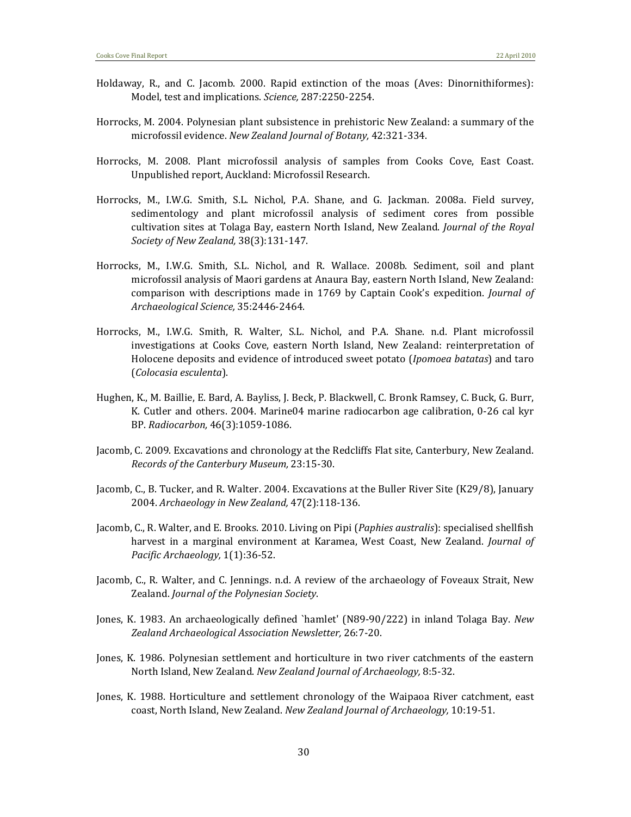- Holdaway, R., and C. Jacomb. 2000. Rapid extinction of the moas (Aves: Dinornithiformes): Model, test and implications. *Science,* 287:2250‐2254.
- Horrocks, M. 2004. Polynesian plant subsistence in prehistoric New Zealand: a summary of the microfossil evidence. *New Zealand Journal of Botany,* 42:321‐334.
- Horrocks, M. 2008. Plant microfossil analysis of samples from Cooks Cove, East Coast. Unpublished report, Auckland: Microfossil Research.
- Horrocks, M., I.W.G. Smith, S.L. Nichol, P.A. Shane, and G. Jackman. 2008a. Field survey, sedimentology and plant microfossil analysis of sediment cores from possible cultivation sites at Tolaga Bay, eastern North Island, New Zealand. *Journal of the Royal Society of New Zealand,* 38(3):131‐147.
- Horrocks, M., I.W.G. Smith, S.L. Nichol, and R. Wallace. 2008b. Sediment, soil and plant microfossil analysis of Maori gardens at Anaura Bay, eastern North Island, New Zealand: comparison with descriptions made in 1769 by Captain Cook's expedition. *Journal of Archaeological Science,* 35:2446‐2464.
- Horrocks, M., I.W.G. Smith, R. Walter, S.L. Nichol, and P.A. Shane. n.d. Plant microfossil investigations at Cooks Cove, eastern North Island, New Zealand: reinterpretation of Holocene deposits and evidence of introduced sweet potato (*Ipomoea batatas*) and taro (*Colocasia esculenta*).
- Hughen, K., M. Baillie, E. Bard, A. Bayliss, J. Beck, P. Blackwell, C. Bronk Ramsey, C. Buck, G. Burr, K. Cutler and others. 2004. Marine04 marine radiocarbon age calibration, 0-26 cal kyr BP. *Radiocarbon,* 46(3):1059‐1086.
- Jacomb, C. 2009. Excavations and chronology at the Redcliffs Flat site, Canterbury, New Zealand. *Records of the Canterbury Museum,* 23:15‐30.
- Jacomb, C., B. Tucker, and R. Walter. 2004. Excavations at the Buller River Site (K29/8), January 2004. *Archaeology in New Zealand,* 47(2):118‐136.
- Jacomb, C., R. Walter, and E. Brooks. 2010. Living on Pipi (*Paphies australis*): specialised shellfish harvest in a marginal environment at Karamea, West Coast, New Zealand. *Journal of Pacific Archaeology,* 1(1):36‐52.
- Jacomb, C., R. Walter, and C. Jennings. n.d. A review of the archaeology of Foveaux Strait, New Zealand. *Journal of the Polynesian Society*.
- Jones, K. 1983. An archaeologically defined `hamlet' (N89‐90/222) in inland Tolaga Bay. *New Zealand Archaeological Association Newsletter,* 26:7‐20.
- Jones, K. 1986. Polynesian settlement and horticulture in two river catchments of the eastern North Island, New Zealand. *New Zealand Journal of Archaeology,* 8:5‐32.
- Jones, K. 1988. Horticulture and settlement chronology of the Waipaoa River catchment, east coast, North Island, New Zealand. *New Zealand Journal of Archaeology,* 10:19‐51.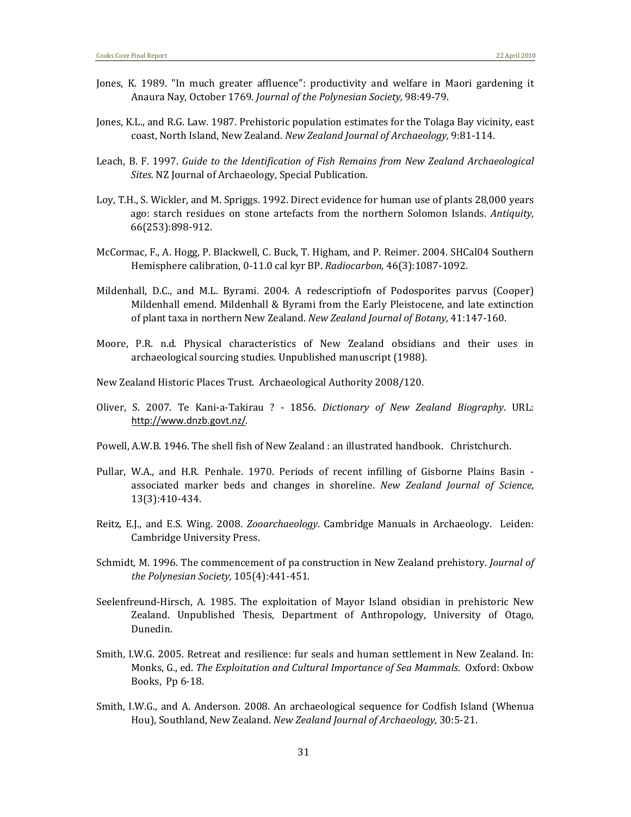- Jones, K. 1989. "In much greater affluence": productivity and welfare in Maori gardening it Anaura Nay, October 1769. *Journal of the Polynesian Society,* 98:49‐79.
- Jones, K.L., and R.G. Law. 1987. Prehistoric population estimates for the Tolaga Bay vicinity, east coast, North Island, New Zealand. *New Zealand Journal of Archaeology,* 9:81‐114.
- Leach, B. F. 1997. *Guide to the Identification of Fish Remains from New Zealand Archaeological Sites.* NZ Journal of Archaeology, Special Publication.
- Loy, T.H., S. Wickler, and M. Spriggs. 1992. Direct evidence for human use of plants 28,000 years ago: starch residues on stone artefacts from the northern Solomon Islands. *Antiquity,* 66(253):898‐912.
- McCormac, F., A. Hogg, P. Blackwell, C. Buck, T. Higham, and P. Reimer. 2004. SHCal04 Southern Hemisphere calibration, 0‐11.0 cal kyr BP. *Radiocarbon,* 46(3):1087‐1092.
- Mildenhall, D.C., and M.L. Byrami. 2004. A redescriptiofn of Podosporites parvus (Cooper) Mildenhall emend. Mildenhall & Byrami from the Early Pleistocene, and late extinction of plant taxa in northern New Zealand. *New Zealand Journal of Botany,* 41:147‐160.
- Moore, P.R. n.d. Physical characteristics of New Zealand obsidians and their uses in archaeological sourcing studies. Unpublished manuscript (1988).
- New Zealand Historic Places Trust. Archaeological Authority 2008/120.
- Oliver, S. 2007. Te Kani‐a‐Takirau ? ‐ 1856. *Dictionary of New Zealand Biography*. URL: http://www.dnzb.govt.nz/.
- Powell, A.W.B. 1946. The shell fish of New Zealand : an illustrated handbook. Christchurch.
- Pullar, W.A., and H.R. Penhale. 1970. Periods of recent infilling of Gisborne Plains Basin associated marker beds and changes in shoreline. *New Zealand Journal of Science,* 13(3):410‐434.
- Reitz, E.J., and E.S. Wing. 2008. *Zooarchaeology*. Cambridge Manuals in Archaeology. Leiden: Cambridge University Press.
- Schmidt, M. 1996. The commencement of pa construction in New Zealand prehistory. *Journal of the Polynesian Society,* 105(4):441‐451.
- Seelenfreund-Hirsch, A. 1985. The exploitation of Mayor Island obsidian in prehistoric New Zealand. Unpublished Thesis, Department of Anthropology, University of Otago, Dunedin.
- Smith, I.W.G. 2005. Retreat and resilience: fur seals and human settlement in New Zealand. In: Monks, G., ed. *The Exploitation and Cultural Importance of Sea Mammals*. Oxford: Oxbow Books, Pp 6‐18.
- Smith, I.W.G., and A. Anderson. 2008. An archaeological sequence for Codfish Island (Whenua Hou), Southland, New Zealand. *New Zealand Journal of Archaeology,* 30:5‐21.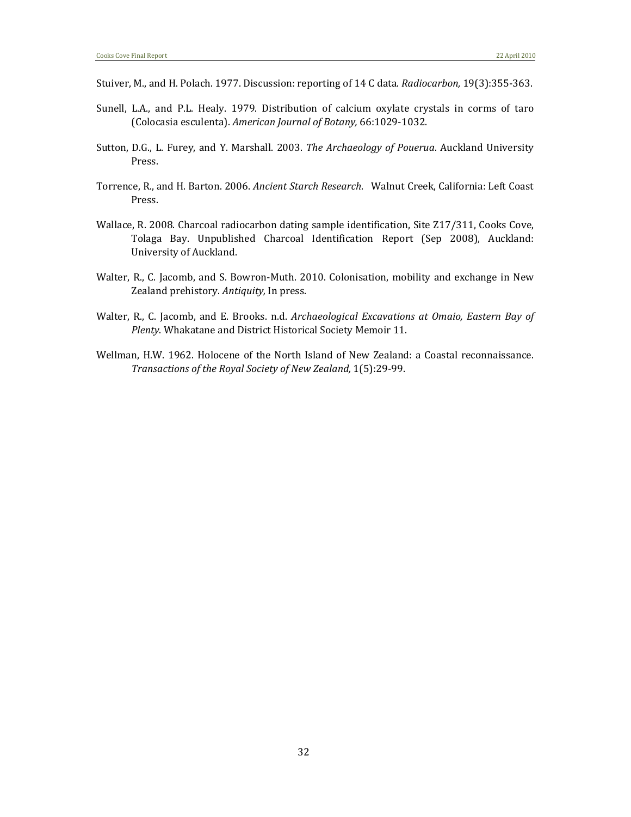- Stuiver, M., and H. Polach. 1977. Discussion: reporting of 14 C data. *Radiocarbon,* 19(3):355‐363.
- Sunell, L.A., and P.L. Healy. 1979. Distribution of calcium oxylate crystals in corms of taro (Colocasia esculenta). *American Journal of Botany,* 66:1029‐1032.
- Sutton, D.G., L. Furey, and Y. Marshall. 2003. *The Archaeology of Pouerua*. Auckland University Press.
- Torrence, R., and H. Barton. 2006. *Ancient Starch Research*. Walnut Creek, California: Left Coast Press.
- Wallace, R. 2008. Charcoal radiocarbon dating sample identification, Site Z17/311, Cooks Cove, Tolaga Bay. Unpublished Charcoal Identification Report (Sep 2008), Auckland: University of Auckland.
- Walter, R., C. Jacomb, and S. Bowron-Muth. 2010. Colonisation, mobility and exchange in New Zealand prehistory. *Antiquity,* In press.
- Walter, R., C. Jacomb, and E. Brooks. n.d. *Archaeological Excavations at Omaio, Eastern Bay of Plenty*. Whakatane and District Historical Society Memoir 11.
- Wellman, H.W. 1962. Holocene of the North Island of New Zealand: a Coastal reconnaissance. *Transactions of the Royal Society of New Zealand,* 1(5):29‐99.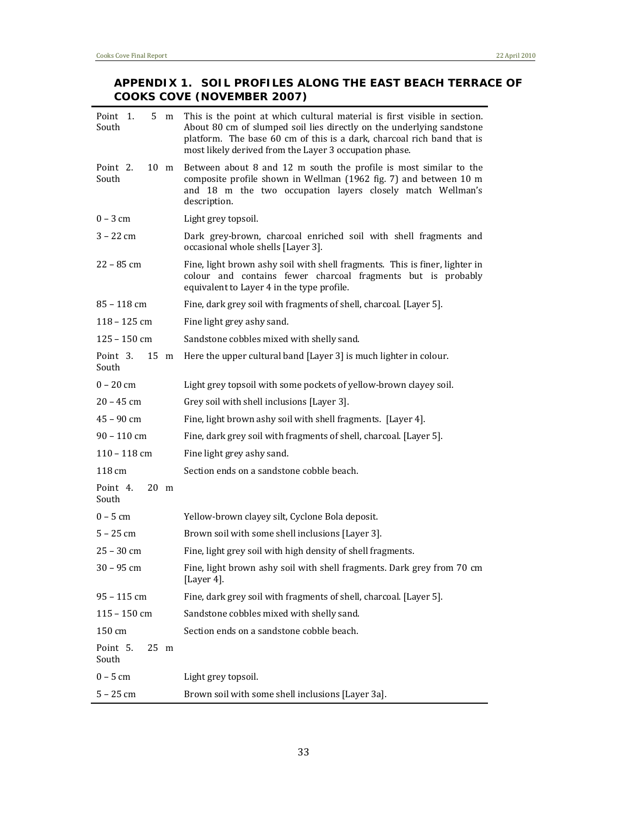### **APPENDIX 1. SOIL PROFILES ALONG THE EAST BEACH TERRACE OF COOKS COVE (NOVEMBER 2007)**

| Point 1.<br>South                   | 5 m            | This is the point at which cultural material is first visible in section.<br>About 80 cm of slumped soil lies directly on the underlying sandstone<br>platform. The base 60 cm of this is a dark, charcoal rich band that is<br>most likely derived from the Layer 3 occupation phase. |
|-------------------------------------|----------------|----------------------------------------------------------------------------------------------------------------------------------------------------------------------------------------------------------------------------------------------------------------------------------------|
| Point 2.<br>South                   | $10 \text{ m}$ | Between about 8 and 12 m south the profile is most similar to the<br>composite profile shown in Wellman (1962 fig. 7) and between 10 m<br>and 18 m the two occupation layers closely match Wellman's<br>description.                                                                   |
| $0 - 3$ cm                          |                | Light grey topsoil.                                                                                                                                                                                                                                                                    |
| $3 - 22$ cm                         |                | Dark grey-brown, charcoal enriched soil with shell fragments and<br>occasional whole shells [Layer 3].                                                                                                                                                                                 |
| 22 – 85 cm                          |                | Fine, light brown ashy soil with shell fragments. This is finer, lighter in<br>colour and contains fewer charcoal fragments but is probably<br>equivalent to Layer 4 in the type profile.                                                                                              |
| $85 - 118$ cm                       |                | Fine, dark grey soil with fragments of shell, charcoal. [Layer 5].                                                                                                                                                                                                                     |
| $118 - 125$ cm                      |                | Fine light grey ashy sand.                                                                                                                                                                                                                                                             |
| $125 - 150$ cm                      |                | Sandstone cobbles mixed with shelly sand.                                                                                                                                                                                                                                              |
| Point 3.<br>$15 \text{ m}$<br>South |                | Here the upper cultural band [Layer 3] is much lighter in colour.                                                                                                                                                                                                                      |
| $0 - 20$ cm                         |                | Light grey topsoil with some pockets of yellow-brown clayey soil.                                                                                                                                                                                                                      |
| $20 - 45$ cm                        |                | Grey soil with shell inclusions [Layer 3].                                                                                                                                                                                                                                             |
| $45 - 90$ cm                        |                | Fine, light brown ashy soil with shell fragments. [Layer 4].                                                                                                                                                                                                                           |
| $90 - 110$ cm                       |                | Fine, dark grey soil with fragments of shell, charcoal. [Layer 5].                                                                                                                                                                                                                     |
| $110 - 118$ cm                      |                | Fine light grey ashy sand.                                                                                                                                                                                                                                                             |
| 118 cm                              |                | Section ends on a sandstone cobble beach.                                                                                                                                                                                                                                              |
| Point 4.<br>$20 \text{ m}$<br>South |                |                                                                                                                                                                                                                                                                                        |
| $0 - 5$ cm                          |                | Yellow-brown clayey silt, Cyclone Bola deposit.                                                                                                                                                                                                                                        |
| $5 - 25$ cm                         |                | Brown soil with some shell inclusions [Layer 3].                                                                                                                                                                                                                                       |
| $25 - 30$ cm                        |                | Fine, light grey soil with high density of shell fragments.                                                                                                                                                                                                                            |
| 30 - 95 cm                          |                | Fine, light brown ashy soil with shell fragments. Dark grey from 70 cm<br>[Layer 4].                                                                                                                                                                                                   |
| 95 - 115 cm                         |                | Fine, dark grey soil with fragments of shell, charcoal. [Layer 5].                                                                                                                                                                                                                     |
| $115 - 150$ cm                      |                | Sandstone cobbles mixed with shelly sand.                                                                                                                                                                                                                                              |
| 150 cm                              |                | Section ends on a sandstone cobble beach.                                                                                                                                                                                                                                              |
| Point 5.<br>$25 \text{ m}$<br>South |                |                                                                                                                                                                                                                                                                                        |
| $0 - 5$ cm                          |                | Light grey topsoil.                                                                                                                                                                                                                                                                    |
| $5 - 25$ cm                         |                | Brown soil with some shell inclusions [Layer 3a].                                                                                                                                                                                                                                      |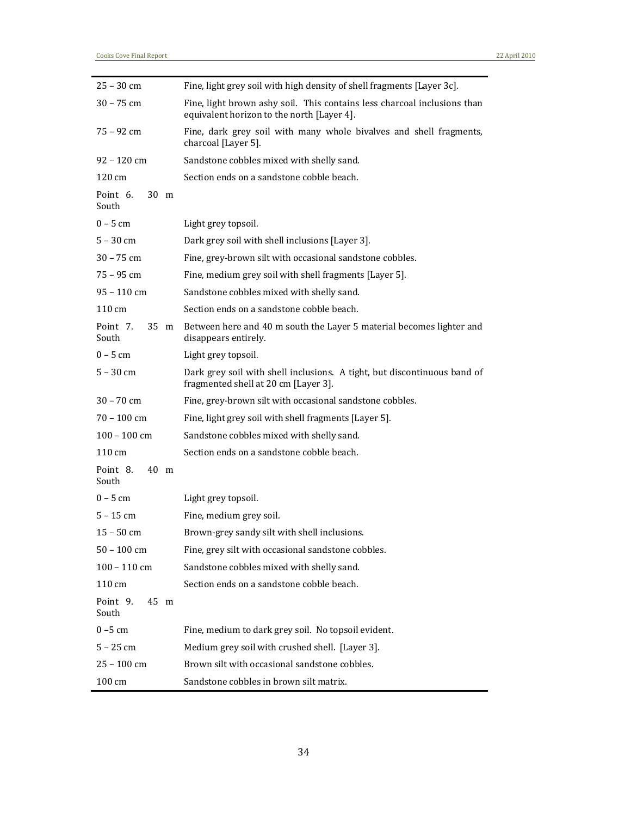| $25 - 30$ cm                          | Fine, light grey soil with high density of shell fragments [Layer 3c].                                                 |
|---------------------------------------|------------------------------------------------------------------------------------------------------------------------|
| $30 - 75$ cm                          | Fine, light brown ashy soil. This contains less charcoal inclusions than<br>equivalent horizon to the north [Layer 4]. |
| $75 - 92$ cm                          | Fine, dark grey soil with many whole bivalves and shell fragments,<br>charcoal [Layer 5].                              |
| $92 - 120$ cm                         | Sandstone cobbles mixed with shelly sand.                                                                              |
| 120 cm                                | Section ends on a sandstone cobble beach.                                                                              |
| Point <sub>6</sub> .<br>30 m<br>South |                                                                                                                        |
| $0 - 5$ cm                            | Light grey topsoil.                                                                                                    |
| $5 - 30$ cm                           | Dark grey soil with shell inclusions [Layer 3].                                                                        |
| $30 - 75$ cm                          | Fine, grey-brown silt with occasional sandstone cobbles.                                                               |
| $75 - 95$ cm                          | Fine, medium grey soil with shell fragments [Layer 5].                                                                 |
| $95 - 110$ cm                         | Sandstone cobbles mixed with shelly sand.                                                                              |
| 110 cm                                | Section ends on a sandstone cobble beach.                                                                              |
| Point 7.<br>35 m<br>South             | Between here and 40 m south the Layer 5 material becomes lighter and<br>disappears entirely.                           |
| $0 - 5$ cm                            | Light grey topsoil.                                                                                                    |
| $5 - 30$ cm                           | Dark grey soil with shell inclusions. A tight, but discontinuous band of<br>fragmented shell at 20 cm [Layer 3].       |
| $30 - 70$ cm                          | Fine, grey-brown silt with occasional sandstone cobbles.                                                               |
| $70 - 100$ cm                         | Fine, light grey soil with shell fragments [Layer 5].                                                                  |
| $100 - 100$ cm                        | Sandstone cobbles mixed with shelly sand.                                                                              |
| 110 cm                                | Section ends on a sandstone cobble beach.                                                                              |
| Point 8.<br>40 m<br>South             |                                                                                                                        |
| $0 - 5$ cm                            | Light grey topsoil.                                                                                                    |
| $5 - 15$ cm                           | Fine, medium grey soil.                                                                                                |
| $15 - 50$ cm                          | Brown-grey sandy silt with shell inclusions.                                                                           |
| $50 - 100$ cm                         | Fine, grey silt with occasional sandstone cobbles.                                                                     |
| $100 - 110$ cm                        | Sandstone cobbles mixed with shelly sand.                                                                              |
| 110 cm                                | Section ends on a sandstone cobble beach.                                                                              |
| Point 9.<br>45 m<br>South             |                                                                                                                        |
| $0 - 5$ cm                            | Fine, medium to dark grey soil. No topsoil evident.                                                                    |
| $5 - 25$ cm                           | Medium grey soil with crushed shell. [Layer 3].                                                                        |
| 25 - 100 cm                           | Brown silt with occasional sandstone cobbles.                                                                          |
| 100 cm                                | Sandstone cobbles in brown silt matrix.                                                                                |